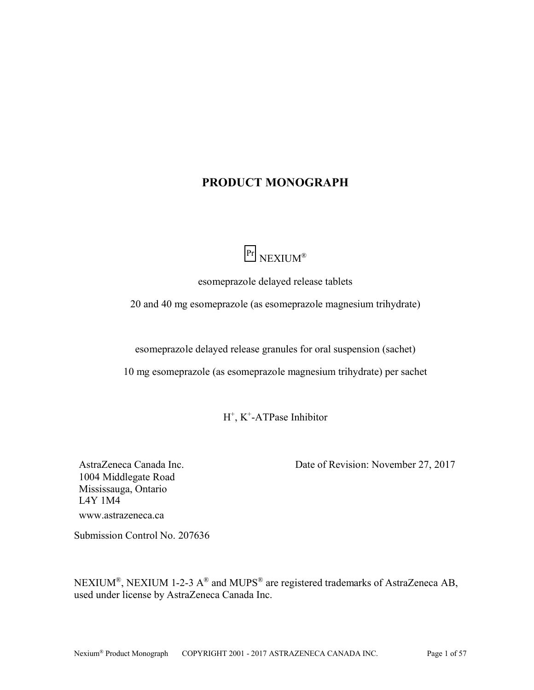# **PRODUCT MONOGRAPH**



esomeprazole delayed release tablets

<span id="page-0-0"></span>20 and 40 mg esomeprazole (as esomeprazole magnesium trihydrate)

esomeprazole delayed release granules for oral suspension (sachet)

10 mg esomeprazole (as esomeprazole magnesium trihydrate) per sachet

H<sup>+</sup>, K<sup>+</sup>-ATPase Inhibitor

AstraZeneca Canada Inc. 1004 Middlegate Road Mississauga, Ontario L4Y 1M4 www.astrazeneca.ca

Date of Revision: November 27, 2017

Submission Control No. 207636

NEXIUM®, NEXIUM 1-2-3  $A^{\circledR}$  and MUPS<sup>®</sup> are registered trademarks of AstraZeneca AB, used under license by AstraZeneca Canada Inc.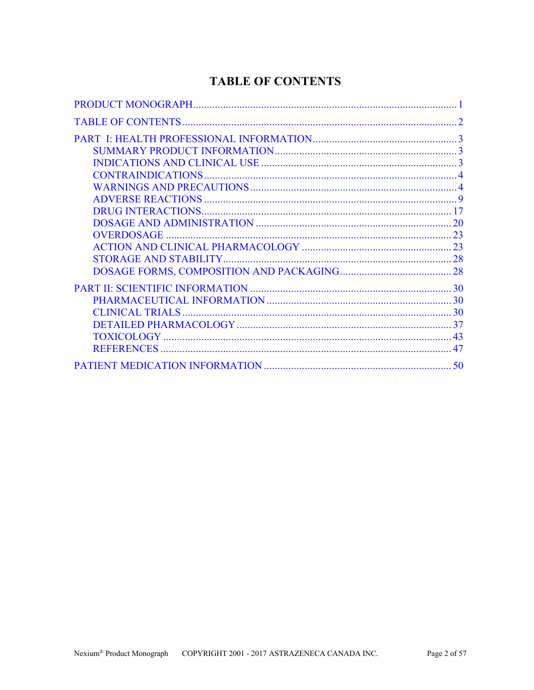# **TABLE OF CONTENTS**

<span id="page-1-0"></span>

| $\mathcal{D}_{\mathcal{L}}$ |
|-----------------------------|
|                             |
|                             |
|                             |
|                             |
|                             |
|                             |
| 17                          |
|                             |
|                             |
|                             |
|                             |
|                             |
| 30                          |
|                             |
|                             |
|                             |
| 43                          |
| 47                          |
| 50                          |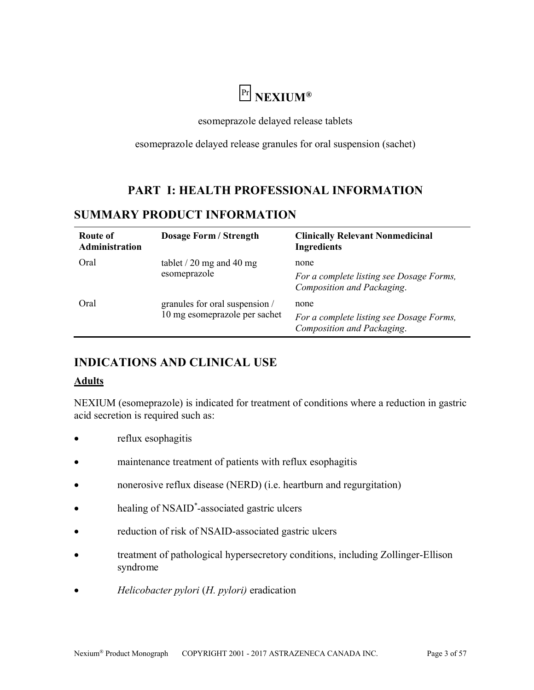# Pr **NEXIUM®**

esomeprazole delayed release tablets

esomeprazole delayed release granules for oral suspension (sachet)

# **PART I: HEALTH PROFESSIONAL INFORMATION**

# <span id="page-2-2"></span><span id="page-2-1"></span>**SUMMARY PRODUCT INFORMATION**

| Route of<br>Administration | Dosage Form / Strength                                          | <b>Clinically Relevant Nonmedicinal</b><br><b>Ingredients</b>                  |
|----------------------------|-----------------------------------------------------------------|--------------------------------------------------------------------------------|
| Oral                       | tablet $/$ 20 mg and 40 mg<br>esomeprazole                      | none<br>For a complete listing see Dosage Forms,<br>Composition and Packaging. |
| Oral                       | granules for oral suspension /<br>10 mg esomeprazole per sachet | none<br>For a complete listing see Dosage Forms,<br>Composition and Packaging. |

# <span id="page-2-0"></span>**INDICATIONS AND CLINICAL USE**

# **Adults**

NEXIUM (esomeprazole) is indicated for treatment of conditions where a reduction in gastric acid secretion is required such as:

- reflux esophagitis
- maintenance treatment of patients with reflux esophagitis
- nonerosive reflux disease (NERD) (i.e. heartburn and regurgitation)
- healing of NSAID<sup>\*</sup>-associated gastric ulcers
- reduction of risk of NSAID-associated gastric ulcers
- treatment of pathological hypersecretory conditions, including Zollinger-Ellison syndrome
- *Helicobacter pylori* (*H. pylori)* eradication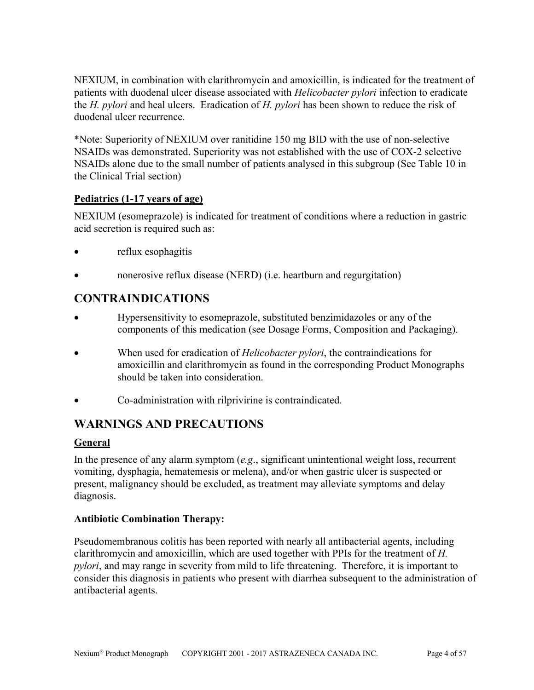NEXIUM, in combination with clarithromycin and amoxicillin, is indicated for the treatment of patients with duodenal ulcer disease associated with *Helicobacter pylori* infection to eradicate the *H. pylori* and heal ulcers. Eradication of *H. pylori* has been shown to reduce the risk of duodenal ulcer recurrence.

\*Note: Superiority of NEXIUM over ranitidine 150 mg BID with the use of non-selective NSAIDs was demonstrated. Superiority was not established with the use of COX-2 selective NSAIDs alone due to the small number of patients analysed in this subgroup (See Table 10 in the Clinical Trial section)

# **Pediatrics (1-17 years of age)**

NEXIUM (esomeprazole) is indicated for treatment of conditions where a reduction in gastric acid secretion is required such as:

- reflux esophagitis
- nonerosive reflux disease (NERD) (i.e. heartburn and regurgitation)

# <span id="page-3-1"></span>**CONTRAINDICATIONS**

- Hypersensitivity to esomeprazole, substituted benzimidazoles or any of the components of this medication (see Dosage Forms, Composition and Packaging).
- When used for eradication of *Helicobacter pylori*, the contraindications for amoxicillin and clarithromycin as found in the corresponding Product Monographs should be taken into consideration.
- Co-administration with rilprivirine is contraindicated.

# <span id="page-3-0"></span>**WARNINGS AND PRECAUTIONS**

# **General**

In the presence of any alarm symptom (*e.g*., significant unintentional weight loss, recurrent vomiting, dysphagia, hematemesis or melena), and/or when gastric ulcer is suspected or present, malignancy should be excluded, as treatment may alleviate symptoms and delay diagnosis.

# **Antibiotic Combination Therapy:**

Pseudomembranous colitis has been reported with nearly all antibacterial agents, including clarithromycin and amoxicillin, which are used together with PPIs for the treatment of *H. pylori*, and may range in severity from mild to life threatening. Therefore, it is important to consider this diagnosis in patients who present with diarrhea subsequent to the administration of antibacterial agents.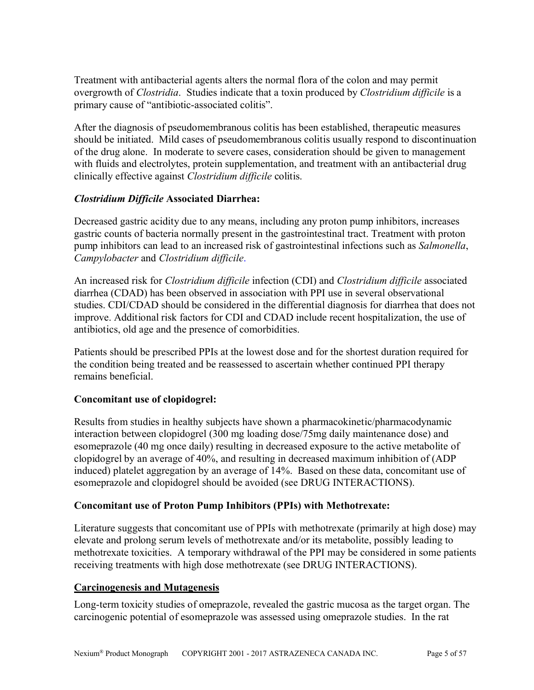Treatment with antibacterial agents alters the normal flora of the colon and may permit overgrowth of *Clostridia*. Studies indicate that a toxin produced by *Clostridium difficile* is a primary cause of "antibiotic-associated colitis".

After the diagnosis of pseudomembranous colitis has been established, therapeutic measures should be initiated. Mild cases of pseudomembranous colitis usually respond to discontinuation of the drug alone. In moderate to severe cases, consideration should be given to management with fluids and electrolytes, protein supplementation, and treatment with an antibacterial drug clinically effective against *Clostridium difficile* colitis.

# *Clostridium Difficile* **Associated Diarrhea:**

Decreased gastric acidity due to any means, including any proton pump inhibitors, increases gastric counts of bacteria normally present in the gastrointestinal tract. Treatment with proton pump inhibitors can lead to an increased risk of gastrointestinal infections such as *Salmonella*, *Campylobacter* and *Clostridium difficile*.

An increased risk for *Clostridium difficile* infection (CDI) and *Clostridium difficile* associated diarrhea (CDAD) has been observed in association with PPI use in several observational studies. CDI/CDAD should be considered in the differential diagnosis for diarrhea that does not improve. Additional risk factors for CDI and CDAD include recent hospitalization, the use of antibiotics, old age and the presence of comorbidities.

Patients should be prescribed PPIs at the lowest dose and for the shortest duration required for the condition being treated and be reassessed to ascertain whether continued PPI therapy remains beneficial.

# **Concomitant use of clopidogrel:**

Results from studies in healthy subjects have shown a pharmacokinetic/pharmacodynamic interaction between clopidogrel (300 mg loading dose/75mg daily maintenance dose) and esomeprazole (40 mg once daily) resulting in decreased exposure to the active metabolite of clopidogrel by an average of 40%, and resulting in decreased maximum inhibition of (ADP induced) platelet aggregation by an average of 14%. Based on these data, concomitant use of esomeprazole and clopidogrel should be avoided (see DRUG INTERACTIONS).

# **Concomitant use of Proton Pump Inhibitors (PPIs) with Methotrexate:**

Literature suggests that concomitant use of PPIs with methotrexate (primarily at high dose) may elevate and prolong serum levels of methotrexate and/or its metabolite, possibly leading to methotrexate toxicities. A temporary withdrawal of the PPI may be considered in some patients receiving treatments with high dose methotrexate (see DRUG INTERACTIONS).

### **Carcinogenesis and Mutagenesis**

Long-term toxicity studies of omeprazole, revealed the gastric mucosa as the target organ. The carcinogenic potential of esomeprazole was assessed using omeprazole studies. In the rat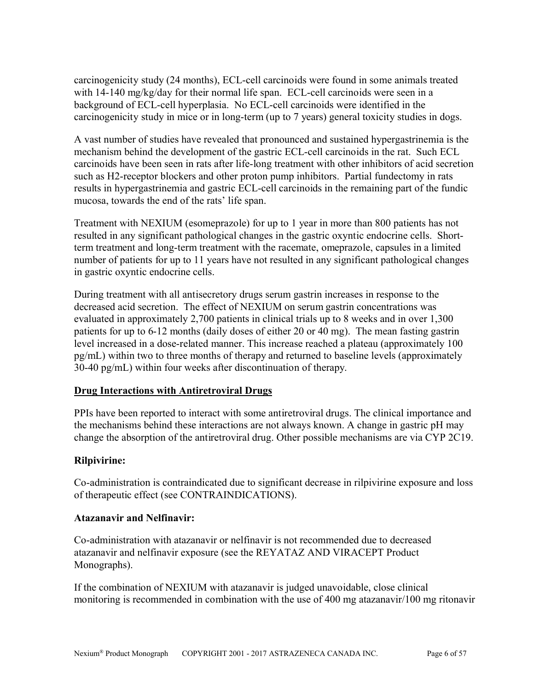carcinogenicity study (24 months), ECL-cell carcinoids were found in some animals treated with 14-140 mg/kg/day for their normal life span. ECL-cell carcinoids were seen in a background of ECL-cell hyperplasia. No ECL-cell carcinoids were identified in the carcinogenicity study in mice or in long-term (up to 7 years) general toxicity studies in dogs.

A vast number of studies have revealed that pronounced and sustained hypergastrinemia is the mechanism behind the development of the gastric ECL-cell carcinoids in the rat. Such ECL carcinoids have been seen in rats after life-long treatment with other inhibitors of acid secretion such as H2-receptor blockers and other proton pump inhibitors. Partial fundectomy in rats results in hypergastrinemia and gastric ECL-cell carcinoids in the remaining part of the fundic mucosa, towards the end of the rats' life span.

Treatment with NEXIUM (esomeprazole) for up to 1 year in more than 800 patients has not resulted in any significant pathological changes in the gastric oxyntic endocrine cells. Shortterm treatment and long-term treatment with the racemate, omeprazole, capsules in a limited number of patients for up to 11 years have not resulted in any significant pathological changes in gastric oxyntic endocrine cells.

During treatment with all antisecretory drugs serum gastrin increases in response to the decreased acid secretion. The effect of NEXIUM on serum gastrin concentrations was evaluated in approximately 2,700 patients in clinical trials up to 8 weeks and in over 1,300 patients for up to 6-12 months (daily doses of either 20 or 40 mg). The mean fasting gastrin level increased in a dose-related manner. This increase reached a plateau (approximately 100 pg/mL) within two to three months of therapy and returned to baseline levels (approximately 30-40 pg/mL) within four weeks after discontinuation of therapy.

# **Drug Interactions with Antiretroviral Drugs**

PPIs have been reported to interact with some antiretroviral drugs. The clinical importance and the mechanisms behind these interactions are not always known. A change in gastric pH may change the absorption of the antiretroviral drug. Other possible mechanisms are via CYP 2C19.

# **Rilpivirine:**

Co-administration is contraindicated due to significant decrease in rilpivirine exposure and loss of therapeutic effect (see CONTRAINDICATIONS).

### **Atazanavir and Nelfinavir:**

Co-administration with atazanavir or nelfinavir is not recommended due to decreased atazanavir and nelfinavir exposure (see the REYATAZ AND VIRACEPT Product Monographs).

If the combination of NEXIUM with atazanavir is judged unavoidable, close clinical monitoring is recommended in combination with the use of 400 mg atazanavir/100 mg ritonavir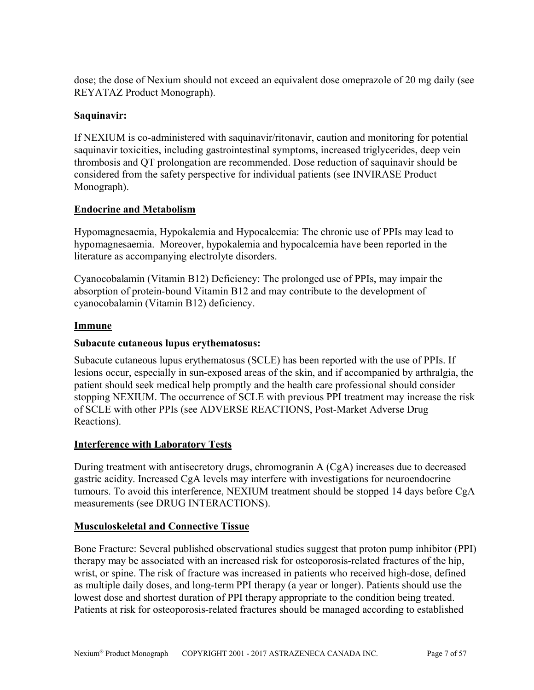dose; the dose of Nexium should not exceed an equivalent dose omeprazole of 20 mg daily (see REYATAZ Product Monograph).

### **Saquinavir:**

If NEXIUM is co-administered with saquinavir/ritonavir, caution and monitoring for potential saquinavir toxicities, including gastrointestinal symptoms, increased triglycerides, deep vein thrombosis and QT prolongation are recommended. Dose reduction of saquinavir should be considered from the safety perspective for individual patients (see INVIRASE Product Monograph).

### **Endocrine and Metabolism**

Hypomagnesaemia, Hypokalemia and Hypocalcemia: The chronic use of PPIs may lead to hypomagnesaemia. Moreover, hypokalemia and hypocalcemia have been reported in the literature as accompanying electrolyte disorders.

Cyanocobalamin (Vitamin B12) Deficiency: The prolonged use of PPIs, may impair the absorption of protein-bound Vitamin B12 and may contribute to the development of cyanocobalamin (Vitamin B12) deficiency.

### **Immune**

### **Subacute cutaneous lupus erythematosus:**

Subacute cutaneous lupus erythematosus (SCLE) has been reported with the use of PPIs. If lesions occur, especially in sun-exposed areas of the skin, and if accompanied by arthralgia, the patient should seek medical help promptly and the health care professional should consider stopping NEXIUM. The occurrence of SCLE with previous PPI treatment may increase the risk of SCLE with other PPIs (see ADVERSE REACTIONS, Post-Market Adverse Drug Reactions).

### **Interference with Laboratory Tests**

During treatment with antisecretory drugs, chromogranin A (CgA) increases due to decreased gastric acidity. Increased CgA levels may interfere with investigations for neuroendocrine tumours. To avoid this interference, NEXIUM treatment should be stopped 14 days before CgA measurements (see DRUG INTERACTIONS).

### **Musculoskeletal and Connective Tissue**

Bone Fracture: Several published observational studies suggest that proton pump inhibitor (PPI) therapy may be associated with an increased risk for osteoporosis-related fractures of the hip, wrist, or spine. The risk of fracture was increased in patients who received high-dose, defined as multiple daily doses, and long-term PPI therapy (a year or longer). Patients should use the lowest dose and shortest duration of PPI therapy appropriate to the condition being treated. Patients at risk for osteoporosis-related fractures should be managed according to established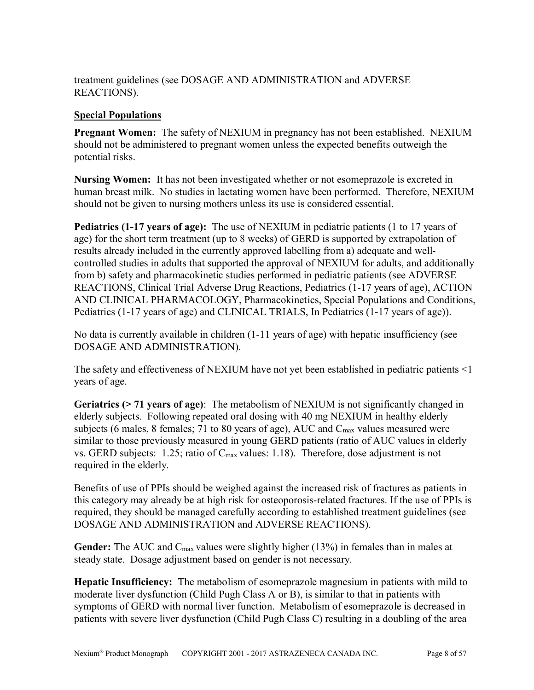treatment guidelines (see DOSAGE AND ADMINISTRATION and ADVERSE REACTIONS).

### **Special Populations**

**Pregnant Women:** The safety of NEXIUM in pregnancy has not been established. NEXIUM should not be administered to pregnant women unless the expected benefits outweigh the potential risks.

**Nursing Women:** It has not been investigated whether or not esomeprazole is excreted in human breast milk. No studies in lactating women have been performed. Therefore, NEXIUM should not be given to nursing mothers unless its use is considered essential.

**Pediatrics (1-17 years of age):** The use of NEXIUM in pediatric patients (1 to 17 years of age) for the short term treatment (up to 8 weeks) of GERD is supported by extrapolation of results already included in the currently approved labelling from a) adequate and wellcontrolled studies in adults that supported the approval of NEXIUM for adults, and additionally from b) safety and pharmacokinetic studies performed in pediatric patients (see ADVERSE REACTIONS, Clinical Trial Adverse Drug Reactions, Pediatrics (1-17 years of age), ACTION AND CLINICAL PHARMACOLOGY, Pharmacokinetics, Special Populations and Conditions, Pediatrics (1-17 years of age) and CLINICAL TRIALS, In Pediatrics (1-17 years of age)).

No data is currently available in children (1-11 years of age) with hepatic insufficiency (see DOSAGE AND ADMINISTRATION).

The safety and effectiveness of NEXIUM have not yet been established in pediatric patients <1 years of age.

**Geriatrics (> 71 years of age)**: The metabolism of NEXIUM is not significantly changed in elderly subjects. Following repeated oral dosing with 40 mg NEXIUM in healthy elderly subjects (6 males, 8 females; 71 to 80 years of age), AUC and  $C_{\text{max}}$  values measured were similar to those previously measured in young GERD patients (ratio of AUC values in elderly vs. GERD subjects: 1.25; ratio of  $C_{\text{max}}$  values: 1.18). Therefore, dose adjustment is not required in the elderly.

Benefits of use of PPIs should be weighed against the increased risk of fractures as patients in this category may already be at high risk for osteoporosis-related fractures. If the use of PPIs is required, they should be managed carefully according to established treatment guidelines (see DOSAGE AND ADMINISTRATION and ADVERSE REACTIONS).

Gender: The AUC and C<sub>max</sub> values were slightly higher (13%) in females than in males at steady state. Dosage adjustment based on gender is not necessary.

**Hepatic Insufficiency:** The metabolism of esomeprazole magnesium in patients with mild to moderate liver dysfunction (Child Pugh Class A or B), is similar to that in patients with symptoms of GERD with normal liver function. Metabolism of esomeprazole is decreased in patients with severe liver dysfunction (Child Pugh Class C) resulting in a doubling of the area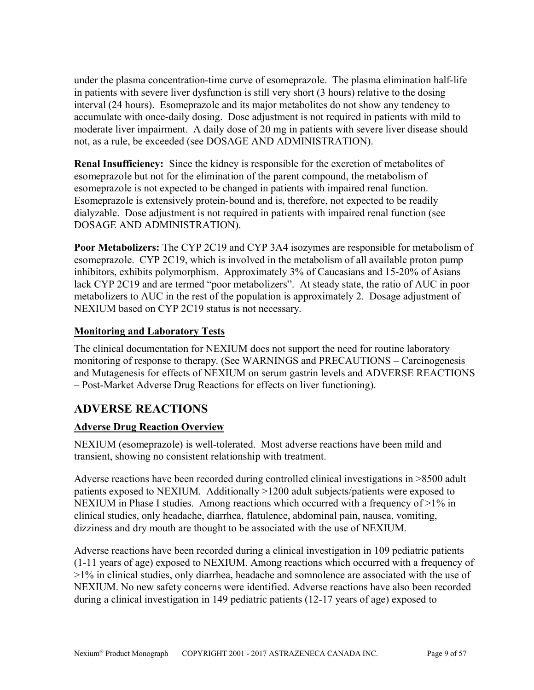under the plasma concentration-time curve of esomeprazole. The plasma elimination half-life in patients with severe liver dysfunction is still very short (3 hours) relative to the dosing interval (24 hours). Esomeprazole and its major metabolites do not show any tendency to accumulate with once-daily dosing. Dose adjustment is not required in patients with mild to moderate liver impairment. A daily dose of 20 mg in patients with severe liver disease should not, as a rule, be exceeded (see DOSAGE AND ADMINISTRATION).

**Renal Insufficiency:** Since the kidney is responsible for the excretion of metabolites of esomeprazole but not for the elimination of the parent compound, the metabolism of esomeprazole is not expected to be changed in patients with impaired renal function. Esomeprazole is extensively protein-bound and is, therefore, not expected to be readily dialyzable. Dose adjustment is not required in patients with impaired renal function (see DOSAGE AND ADMINISTRATION).

**Poor Metabolizers:** The CYP 2C19 and CYP 3A4 isozymes are responsible for metabolism of esomeprazole. CYP 2C19, which is involved in the metabolism of all available proton pump inhibitors, exhibits polymorphism. Approximately 3% of Caucasians and 15-20% of Asians lack CYP 2C19 and are termed "poor metabolizers". At steady state, the ratio of AUC in poor metabolizers to AUC in the rest of the population is approximately 2. Dosage adjustment of NEXIUM based on CYP 2C19 status is not necessary.

# **Monitoring and Laboratory Tests**

The clinical documentation for NEXIUM does not support the need for routine laboratory monitoring of response to therapy. (See WARNINGS and PRECAUTIONS – Carcinogenesis and Mutagenesis for effects of NEXIUM on serum gastrin levels and ADVERSE REACTIONS – Post-Market Adverse Drug Reactions for effects on liver functioning).

# <span id="page-8-0"></span>**ADVERSE REACTIONS**

# **Adverse Drug Reaction Overview**

NEXIUM (esomeprazole) is well-tolerated. Most adverse reactions have been mild and transient, showing no consistent relationship with treatment.

Adverse reactions have been recorded during controlled clinical investigations in >8500 adult patients exposed to NEXIUM. Additionally >1200 adult subjects/patients were exposed to NEXIUM in Phase I studies. Among reactions which occurred with a frequency of >1% in clinical studies, only headache, diarrhea, flatulence, abdominal pain, nausea, vomiting, dizziness and dry mouth are thought to be associated with the use of NEXIUM.

Adverse reactions have been recorded during a clinical investigation in 109 pediatric patients (1-11 years of age) exposed to NEXIUM. Among reactions which occurred with a frequency of >1% in clinical studies, only diarrhea, headache and somnolence are associated with the use of NEXIUM. No new safety concerns were identified. Adverse reactions have also been recorded during a clinical investigation in 149 pediatric patients (12-17 years of age) exposed to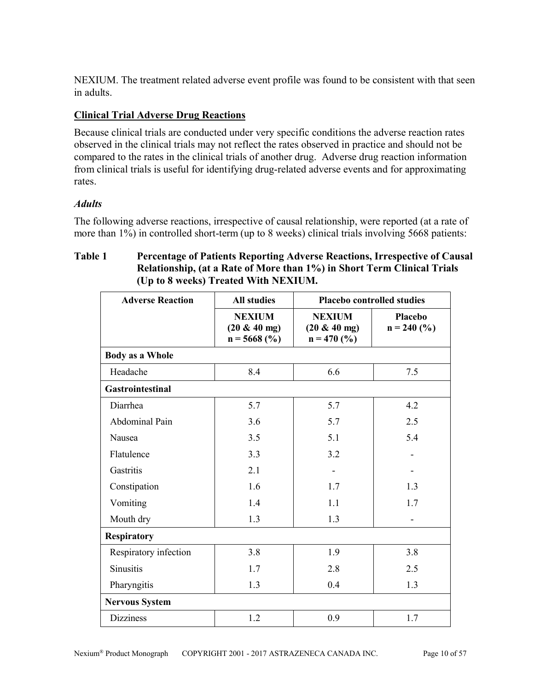NEXIUM. The treatment related adverse event profile was found to be consistent with that seen in adults.

# **Clinical Trial Adverse Drug Reactions**

Because clinical trials are conducted under very specific conditions the adverse reaction rates observed in the clinical trials may not reflect the rates observed in practice and should not be compared to the rates in the clinical trials of another drug. Adverse drug reaction information from clinical trials is useful for identifying drug-related adverse events and for approximating rates.

# *Adults*

The following adverse reactions, irrespective of causal relationship, were reported (at a rate of more than 1%) in controlled short-term (up to 8 weeks) clinical trials involving 5668 patients:

# **Table 1 Percentage of Patients Reporting Adverse Reactions, Irrespective of Causal Relationship, (at a Rate of More than 1%) in Short Term Clinical Trials (Up to 8 weeks) Treated With NEXIUM.**

| <b>Adverse Reaction</b> | <b>All studies</b>                                 | <b>Placebo controlled studies</b>                 |                          |
|-------------------------|----------------------------------------------------|---------------------------------------------------|--------------------------|
|                         | <b>NEXIUM</b><br>$(20 \& 40$ mg)<br>$n = 5668$ (%) | <b>NEXIUM</b><br>$(20 \& 40$ mg)<br>$n = 470$ (%) | Placebo<br>$n = 240$ (%) |
| <b>Body as a Whole</b>  |                                                    |                                                   |                          |
| Headache                | 8.4                                                | 6.6                                               | 7.5                      |
| Gastrointestinal        |                                                    |                                                   |                          |
| Diarrhea                | 5.7                                                | 5.7                                               | 4.2                      |
| Abdominal Pain          | 3.6                                                | 5.7                                               | 2.5                      |
| Nausea                  | 3.5                                                | 5.1                                               | 5.4                      |
| Flatulence              | 3.3                                                | 3.2                                               | -                        |
| Gastritis               | 2.1                                                |                                                   |                          |
| Constipation            | 1.6                                                | 1.7                                               | 1.3                      |
| Vomiting                | 1.4                                                | 1.1                                               | 1.7                      |
| Mouth dry               | 1.3                                                | 1.3                                               |                          |
| <b>Respiratory</b>      |                                                    |                                                   |                          |
| Respiratory infection   | 3.8                                                | 1.9                                               | 3.8                      |
| <b>Sinusitis</b>        | 1.7                                                | 2.8                                               | 2.5                      |
| Pharyngitis             | 1.3                                                | 0.4                                               | 1.3                      |
| <b>Nervous System</b>   |                                                    |                                                   |                          |
| <b>Dizziness</b>        | 1.2                                                | 0.9                                               | 1.7                      |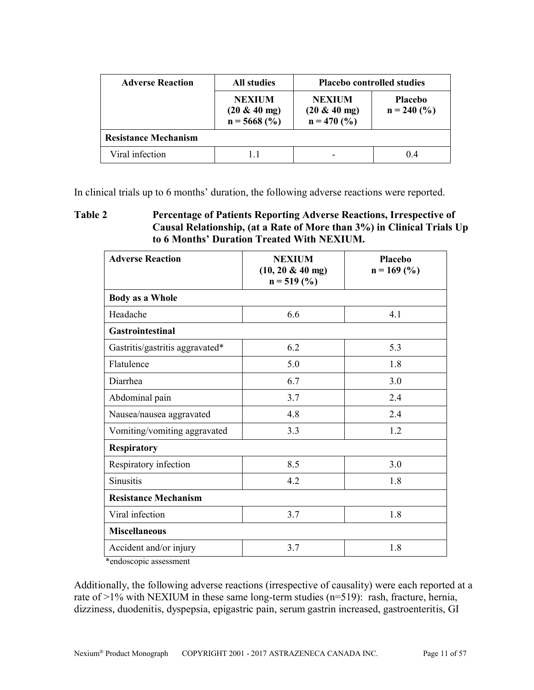| <b>Adverse Reaction</b>     | <b>All studies</b>                                 | <b>Placebo controlled studies</b>                 |                                 |
|-----------------------------|----------------------------------------------------|---------------------------------------------------|---------------------------------|
|                             | <b>NEXIUM</b><br>$(20 \& 40$ mg)<br>$n = 5668$ (%) | <b>NEXIUM</b><br>$(20 \& 40$ mg)<br>$n = 470$ (%) | <b>Placebo</b><br>$n = 240$ (%) |
| <b>Resistance Mechanism</b> |                                                    |                                                   |                                 |
| Viral infection             | 1.1                                                |                                                   | 0.4                             |

In clinical trials up to 6 months' duration, the following adverse reactions were reported.

**Table 2 Percentage of Patients Reporting Adverse Reactions, Irrespective of Causal Relationship, (at a Rate of More than 3%) in Clinical Trials Up to 6 Months' Duration Treated With NEXIUM.**

| <b>Adverse Reaction</b>         | <b>NEXIUM</b><br>$(10, 20 \& 40$ mg)<br>$n = 519$ (%) | <b>Placebo</b><br>$n = 169$ (%) |  |
|---------------------------------|-------------------------------------------------------|---------------------------------|--|
| <b>Body as a Whole</b>          |                                                       |                                 |  |
| Headache                        | 6.6                                                   | 4.1                             |  |
| <b>Gastrointestinal</b>         |                                                       |                                 |  |
| Gastritis/gastritis aggravated* | 6.2                                                   | 5.3                             |  |
| Flatulence                      | 5.0                                                   | 1.8                             |  |
| Diarrhea                        | 6.7                                                   | 3.0                             |  |
| Abdominal pain                  | 3.7                                                   | 2.4                             |  |
| Nausea/nausea aggravated        | 4.8                                                   | 2.4                             |  |
| Vomiting/vomiting aggravated    | 3.3                                                   | 1.2                             |  |
| <b>Respiratory</b>              |                                                       |                                 |  |
| Respiratory infection           | 8.5                                                   | 3.0                             |  |
| <b>Sinusitis</b>                | 4.2                                                   | 1.8                             |  |
| <b>Resistance Mechanism</b>     |                                                       |                                 |  |
| Viral infection                 | 3.7                                                   | 1.8                             |  |
| <b>Miscellaneous</b>            |                                                       |                                 |  |
| Accident and/or injury          | 3.7                                                   | 1.8                             |  |

\*endoscopic assessment

Additionally, the following adverse reactions (irrespective of causality) were each reported at a rate of >1% with NEXIUM in these same long-term studies (n=519): rash, fracture, hernia, dizziness, duodenitis, dyspepsia, epigastric pain, serum gastrin increased, gastroenteritis, GI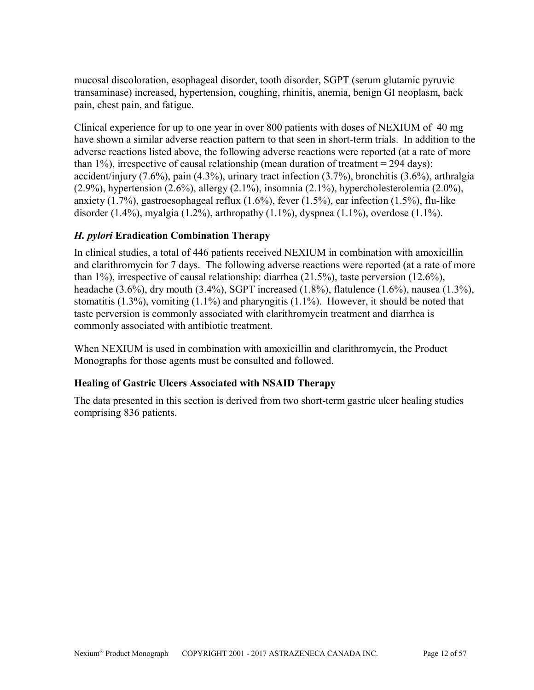mucosal discoloration, esophageal disorder, tooth disorder, SGPT (serum glutamic pyruvic transaminase) increased, hypertension, coughing, rhinitis, anemia, benign GI neoplasm, back pain, chest pain, and fatigue.

Clinical experience for up to one year in over 800 patients with doses of NEXIUM of 40 mg have shown a similar adverse reaction pattern to that seen in short-term trials. In addition to the adverse reactions listed above, the following adverse reactions were reported (at a rate of more than  $1\%$ ), irrespective of causal relationship (mean duration of treatment = 294 days): accident/injury (7.6%), pain (4.3%), urinary tract infection (3.7%), bronchitis (3.6%), arthralgia (2.9%), hypertension (2.6%), allergy (2.1%), insomnia (2.1%), hypercholesterolemia (2.0%), anxiety (1.7%), gastroesophageal reflux (1.6%), fever (1.5%), ear infection (1.5%), flu-like disorder (1.4%), myalgia (1.2%), arthropathy (1.1%), dyspnea (1.1%), overdose (1.1%).

# *H. pylori* **Eradication Combination Therapy**

In clinical studies, a total of 446 patients received NEXIUM in combination with amoxicillin and clarithromycin for 7 days. The following adverse reactions were reported (at a rate of more than 1%), irrespective of causal relationship: diarrhea (21.5%), taste perversion (12.6%), headache (3.6%), dry mouth (3.4%), SGPT increased (1.8%), flatulence (1.6%), nausea (1.3%), stomatitis (1.3%), vomiting (1.1%) and pharyngitis (1.1%). However, it should be noted that taste perversion is commonly associated with clarithromycin treatment and diarrhea is commonly associated with antibiotic treatment.

When NEXIUM is used in combination with amoxicillin and clarithromycin, the Product Monographs for those agents must be consulted and followed.

# **Healing of Gastric Ulcers Associated with NSAID Therapy**

The data presented in this section is derived from two short-term gastric ulcer healing studies comprising 836 patients.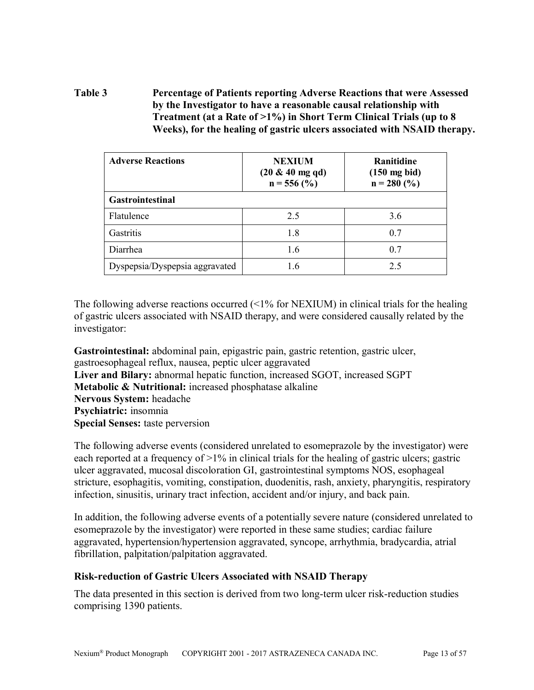**Table 3 Percentage of Patients reporting Adverse Reactions that were Assessed by the Investigator to have a reasonable causal relationship with Treatment (at a Rate of >1%) in Short Term Clinical Trials (up to 8 Weeks), for the healing of gastric ulcers associated with NSAID therapy.** 

| <b>Adverse Reactions</b>       | <b>NEXIUM</b><br>$(20 \& 40$ mg qd)<br>$n = 556$ (%) | Ranitidine<br>$(150 \text{ mg bid})$<br>$n = 280$ (%) |  |
|--------------------------------|------------------------------------------------------|-------------------------------------------------------|--|
| <b>Gastrointestinal</b>        |                                                      |                                                       |  |
| Flatulence                     | 2.5                                                  | 3.6                                                   |  |
| Gastritis                      | 1.8                                                  | 0.7                                                   |  |
| Diarrhea                       | 1.6                                                  | 0.7                                                   |  |
| Dyspepsia/Dyspepsia aggravated | 16                                                   | 2.5                                                   |  |

The following adverse reactions occurred (<1% for NEXIUM) in clinical trials for the healing of gastric ulcers associated with NSAID therapy, and were considered causally related by the investigator:

**Gastrointestinal:** abdominal pain, epigastric pain, gastric retention, gastric ulcer, gastroesophageal reflux, nausea, peptic ulcer aggravated **Liver and Bilary:** abnormal hepatic function, increased SGOT, increased SGPT **Metabolic & Nutritional:** increased phosphatase alkaline **Nervous System:** headache **Psychiatric:** insomnia **Special Senses:** taste perversion

The following adverse events (considered unrelated to esomeprazole by the investigator) were each reported at a frequency of >1% in clinical trials for the healing of gastric ulcers; gastric ulcer aggravated, mucosal discoloration GI, gastrointestinal symptoms NOS, esophageal stricture, esophagitis, vomiting, constipation, duodenitis, rash, anxiety, pharyngitis, respiratory infection, sinusitis, urinary tract infection, accident and/or injury, and back pain.

In addition, the following adverse events of a potentially severe nature (considered unrelated to esomeprazole by the investigator) were reported in these same studies; cardiac failure aggravated, hypertension/hypertension aggravated, syncope, arrhythmia, bradycardia, atrial fibrillation, palpitation/palpitation aggravated.

### **Risk-reduction of Gastric Ulcers Associated with NSAID Therapy**

The data presented in this section is derived from two long-term ulcer risk-reduction studies comprising 1390 patients.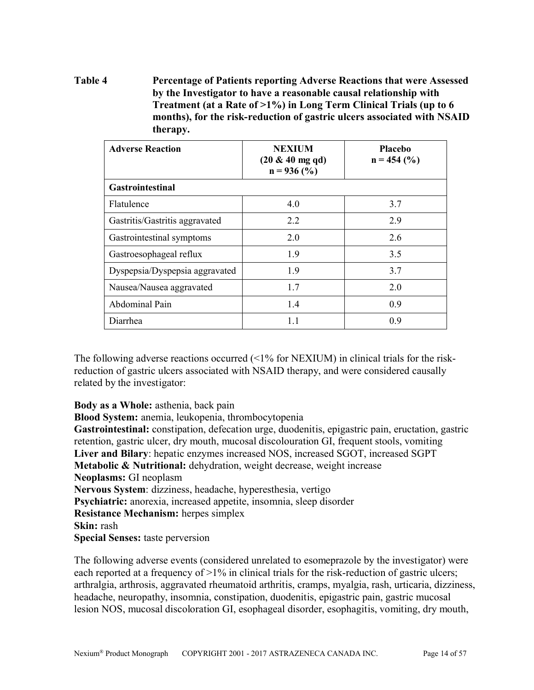# **Table 4 Percentage of Patients reporting Adverse Reactions that were Assessed by the Investigator to have a reasonable causal relationship with Treatment (at a Rate of >1%) in Long Term Clinical Trials (up to 6 months), for the risk-reduction of gastric ulcers associated with NSAID therapy.**

| <b>Adverse Reaction</b>        | <b>NEXIUM</b><br>$(20 \& 40 \text{ mg } \text{qd})$<br>$n = 936$ (%) | <b>Placebo</b><br>$n = 454$ (%) |
|--------------------------------|----------------------------------------------------------------------|---------------------------------|
| <b>Gastrointestinal</b>        |                                                                      |                                 |
| Flatulence                     | 4.0                                                                  | 3.7                             |
| Gastritis/Gastritis aggravated | 2.2                                                                  | 2.9                             |
| Gastrointestinal symptoms      | 2.0                                                                  | 2.6                             |
| Gastroesophageal reflux        | 19                                                                   | 3.5                             |
| Dyspepsia/Dyspepsia aggravated | 19                                                                   | 3.7                             |
| Nausea/Nausea aggravated       | 1.7                                                                  | 2.0                             |
| Abdominal Pain                 | 1.4                                                                  | 0.9                             |
| Diarrhea                       | 1.1                                                                  | 0.9                             |

The following adverse reactions occurred  $\langle 1\%$  for NEXIUM) in clinical trials for the riskreduction of gastric ulcers associated with NSAID therapy, and were considered causally related by the investigator:

**Body as a Whole:** asthenia, back pain

**Blood System:** anemia, leukopenia, thrombocytopenia

**Gastrointestinal:** constipation, defecation urge, duodenitis, epigastric pain, eructation, gastric retention, gastric ulcer, dry mouth, mucosal discolouration GI, frequent stools, vomiting **Liver and Bilary**: hepatic enzymes increased NOS, increased SGOT, increased SGPT **Metabolic & Nutritional:** dehydration, weight decrease, weight increase **Neoplasms:** GI neoplasm **Nervous System**: dizziness, headache, hyperesthesia, vertigo **Psychiatric:** anorexia, increased appetite, insomnia, sleep disorder **Resistance Mechanism:** herpes simplex **Skin:** rash **Special Senses:** taste perversion

The following adverse events (considered unrelated to esomeprazole by the investigator) were each reported at a frequency of  $>1\%$  in clinical trials for the risk-reduction of gastric ulcers; arthralgia, arthrosis, aggravated rheumatoid arthritis, cramps, myalgia, rash, urticaria, dizziness, headache, neuropathy, insomnia, constipation, duodenitis, epigastric pain, gastric mucosal lesion NOS, mucosal discoloration GI, esophageal disorder, esophagitis, vomiting, dry mouth,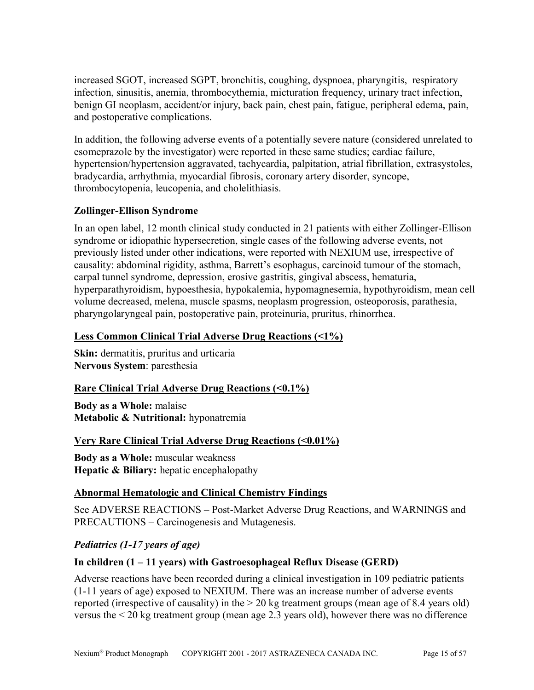increased SGOT, increased SGPT, bronchitis, coughing, dyspnoea, pharyngitis, respiratory infection, sinusitis, anemia, thrombocythemia, micturation frequency, urinary tract infection, benign GI neoplasm, accident/or injury, back pain, chest pain, fatigue, peripheral edema, pain, and postoperative complications.

In addition, the following adverse events of a potentially severe nature (considered unrelated to esomeprazole by the investigator) were reported in these same studies; cardiac failure, hypertension/hypertension aggravated, tachycardia, palpitation, atrial fibrillation, extrasystoles, bradycardia, arrhythmia, myocardial fibrosis, coronary artery disorder, syncope, thrombocytopenia, leucopenia, and cholelithiasis.

# **Zollinger-Ellison Syndrome**

In an open label, 12 month clinical study conducted in 21 patients with either Zollinger-Ellison syndrome or idiopathic hypersecretion, single cases of the following adverse events, not previously listed under other indications, were reported with NEXIUM use, irrespective of causality: abdominal rigidity, asthma, Barrett's esophagus, carcinoid tumour of the stomach, carpal tunnel syndrome, depression, erosive gastritis, gingival abscess, hematuria, hyperparathyroidism, hypoesthesia, hypokalemia, hypomagnesemia, hypothyroidism, mean cell volume decreased, melena, muscle spasms, neoplasm progression, osteoporosis, parathesia, pharyngolaryngeal pain, postoperative pain, proteinuria, pruritus, rhinorrhea.

# **Less Common Clinical Trial Adverse Drug Reactions (<1%)**

**Skin:** dermatitis, pruritus and urticaria **Nervous System**: paresthesia

# **<u>Rare Clinical Trial Adverse Drug Reactions (<0.1%)</u>**

**Body as a Whole:** malaise **Metabolic & Nutritional:** hyponatremia

# **Very Rare Clinical Trial Adverse Drug Reactions (<0.01%)**

**Body as a Whole:** muscular weakness **Hepatic & Biliary:** hepatic encephalopathy

# **Abnormal Hematologic and Clinical Chemistry Findings**

See ADVERSE REACTIONS – Post-Market Adverse Drug Reactions, and WARNINGS and PRECAUTIONS – Carcinogenesis and Mutagenesis.

# *Pediatrics (1-17 years of age)*

# **In children (1 – 11 years) with Gastroesophageal Reflux Disease (GERD)**

Adverse reactions have been recorded during a clinical investigation in 109 pediatric patients (1-11 years of age) exposed to NEXIUM. There was an increase number of adverse events reported (irrespective of causality) in the > 20 kg treatment groups (mean age of 8.4 years old) versus the < 20 kg treatment group (mean age 2.3 years old), however there was no difference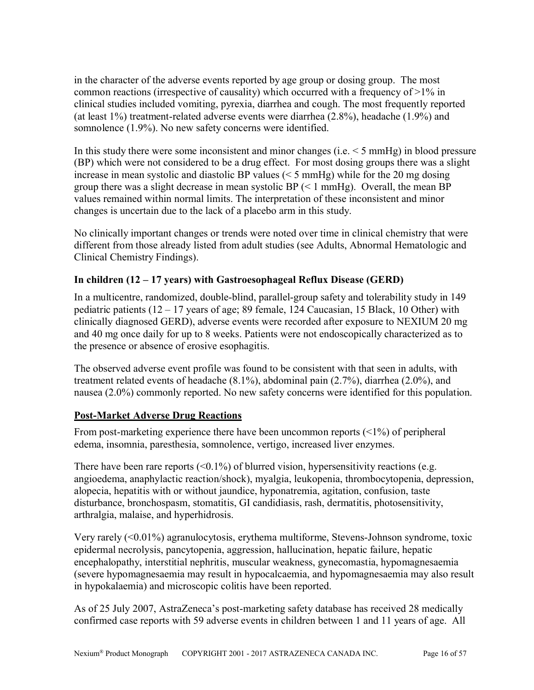in the character of the adverse events reported by age group or dosing group. The most common reactions (irrespective of causality) which occurred with a frequency of >1% in clinical studies included vomiting, pyrexia, diarrhea and cough. The most frequently reported (at least 1%) treatment-related adverse events were diarrhea (2.8%), headache (1.9%) and somnolence (1.9%). No new safety concerns were identified.

In this study there were some inconsistent and minor changes (i.e. < 5 mmHg) in blood pressure (BP) which were not considered to be a drug effect. For most dosing groups there was a slight increase in mean systolic and diastolic BP values (< 5 mmHg) while for the 20 mg dosing group there was a slight decrease in mean systolic BP  $(< 1$  mmHg). Overall, the mean BP values remained within normal limits. The interpretation of these inconsistent and minor changes is uncertain due to the lack of a placebo arm in this study.

No clinically important changes or trends were noted over time in clinical chemistry that were different from those already listed from adult studies (see Adults, Abnormal Hematologic and Clinical Chemistry Findings).

# **In children (12 – 17 years) with Gastroesophageal Reflux Disease (GERD)**

In a multicentre, randomized, double-blind, parallel-group safety and tolerability study in 149 pediatric patients  $(12 - 17)$  years of age; 89 female, 124 Caucasian, 15 Black, 10 Other) with clinically diagnosed GERD), adverse events were recorded after exposure to NEXIUM 20 mg and 40 mg once daily for up to 8 weeks. Patients were not endoscopically characterized as to the presence or absence of erosive esophagitis.

The observed adverse event profile was found to be consistent with that seen in adults, with treatment related events of headache (8.1%), abdominal pain (2.7%), diarrhea (2.0%), and nausea (2.0%) commonly reported. No new safety concerns were identified for this population.

# **Post-Market Adverse Drug Reactions**

From post-marketing experience there have been uncommon reports (<1%) of peripheral edema, insomnia, paresthesia, somnolence, vertigo, increased liver enzymes.

There have been rare reports  $\langle 0.1\% \rangle$  of blurred vision, hypersensitivity reactions (e.g. angioedema, anaphylactic reaction/shock), myalgia, leukopenia, thrombocytopenia, depression, alopecia, hepatitis with or without jaundice, hyponatremia, agitation, confusion, taste disturbance, bronchospasm, stomatitis, GI candidiasis, rash, dermatitis, photosensitivity, arthralgia, malaise, and hyperhidrosis.

Very rarely (<0.01%) agranulocytosis, erythema multiforme, Stevens-Johnson syndrome, toxic epidermal necrolysis, pancytopenia, aggression, hallucination, hepatic failure, hepatic encephalopathy, interstitial nephritis, muscular weakness, gynecomastia, hypomagnesaemia (severe hypomagnesaemia may result in hypocalcaemia, and hypomagnesaemia may also result in hypokalaemia) and microscopic colitis have been reported.

As of 25 July 2007, AstraZeneca's post-marketing safety database has received 28 medically confirmed case reports with 59 adverse events in children between 1 and 11 years of age. All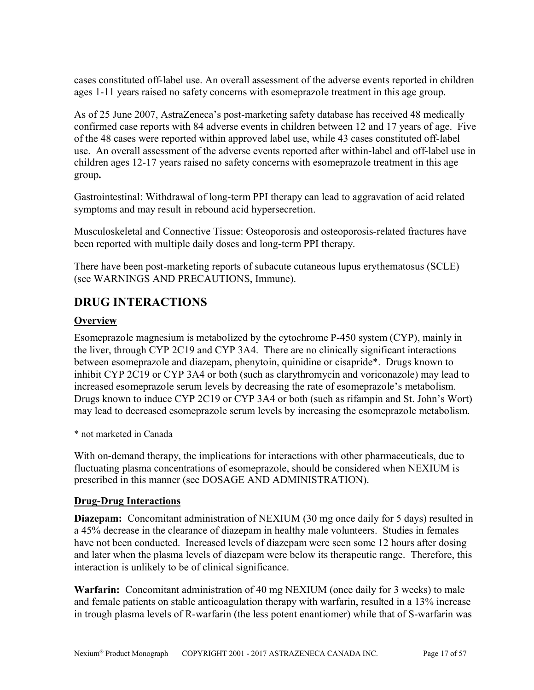cases constituted off-label use. An overall assessment of the adverse events reported in children ages 1-11 years raised no safety concerns with esomeprazole treatment in this age group.

As of 25 June 2007, AstraZeneca's post-marketing safety database has received 48 medically confirmed case reports with 84 adverse events in children between 12 and 17 years of age. Five of the 48 cases were reported within approved label use, while 43 cases constituted off-label use. An overall assessment of the adverse events reported after within-label and off-label use in children ages 12-17 years raised no safety concerns with esomeprazole treatment in this age group**.**

Gastrointestinal: Withdrawal of long-term PPI therapy can lead to aggravation of acid related symptoms and may result in rebound acid hypersecretion.

Musculoskeletal and Connective Tissue: Osteoporosis and osteoporosis-related fractures have been reported with multiple daily doses and long-term PPI therapy.

There have been post-marketing reports of subacute cutaneous lupus erythematosus (SCLE) (see WARNINGS AND PRECAUTIONS, Immune).

# <span id="page-16-0"></span>**DRUG INTERACTIONS**

# **Overview**

Esomeprazole magnesium is metabolized by the cytochrome P-450 system (CYP), mainly in the liver, through CYP 2C19 and CYP 3A4. There are no clinically significant interactions between esomeprazole and diazepam, phenytoin, quinidine or cisapride\*. Drugs known to inhibit CYP 2C19 or CYP 3A4 or both (such as clarythromycin and voriconazole) may lead to increased esomeprazole serum levels by decreasing the rate of esomeprazole's metabolism. Drugs known to induce CYP 2C19 or CYP 3A4 or both (such as rifampin and St. John's Wort) may lead to decreased esomeprazole serum levels by increasing the esomeprazole metabolism.

\* not marketed in Canada

With on-demand therapy, the implications for interactions with other pharmaceuticals, due to fluctuating plasma concentrations of esomeprazole, should be considered when NEXIUM is prescribed in this manner (see DOSAGE AND ADMINISTRATION).

# **Drug-Drug Interactions**

**Diazepam:** Concomitant administration of NEXIUM (30 mg once daily for 5 days) resulted in a 45% decrease in the clearance of diazepam in healthy male volunteers. Studies in females have not been conducted. Increased levels of diazepam were seen some 12 hours after dosing and later when the plasma levels of diazepam were below its therapeutic range. Therefore, this interaction is unlikely to be of clinical significance.

**Warfarin:** Concomitant administration of 40 mg NEXIUM (once daily for 3 weeks) to male and female patients on stable anticoagulation therapy with warfarin, resulted in a 13% increase in trough plasma levels of R-warfarin (the less potent enantiomer) while that of S-warfarin was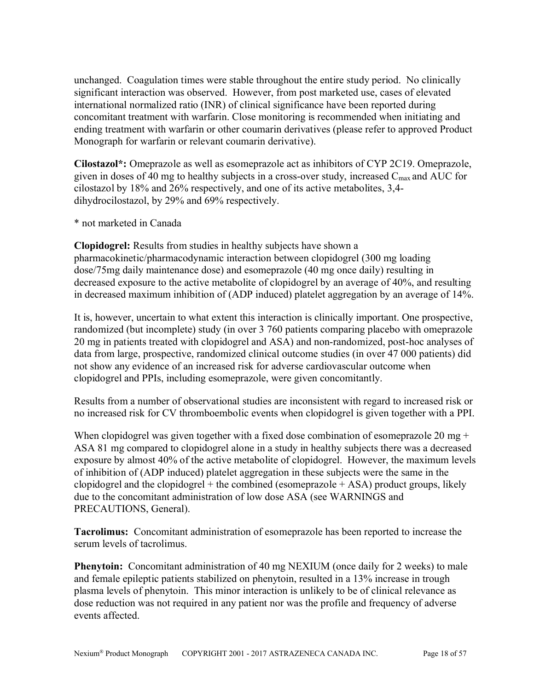unchanged. Coagulation times were stable throughout the entire study period. No clinically significant interaction was observed. However, from post marketed use, cases of elevated international normalized ratio (INR) of clinical significance have been reported during concomitant treatment with warfarin. Close monitoring is recommended when initiating and ending treatment with warfarin or other coumarin derivatives (please refer to approved Product Monograph for warfarin or relevant coumarin derivative).

**Cilostazol\*:** Omeprazole as well as esomeprazole act as inhibitors of CYP 2C19. Omeprazole, given in doses of 40 mg to healthy subjects in a cross-over study, increased  $C_{\text{max}}$  and AUC for cilostazol by 18% and 26% respectively, and one of its active metabolites, 3,4 dihydrocilostazol, by 29% and 69% respectively.

\* not marketed in Canada

**Clopidogrel:** Results from studies in healthy subjects have shown a pharmacokinetic/pharmacodynamic interaction between clopidogrel (300 mg loading dose/75mg daily maintenance dose) and esomeprazole (40 mg once daily) resulting in decreased exposure to the active metabolite of clopidogrel by an average of 40%, and resulting in decreased maximum inhibition of (ADP induced) platelet aggregation by an average of 14%.

It is, however, uncertain to what extent this interaction is clinically important. One prospective, randomized (but incomplete) study (in over 3 760 patients comparing placebo with omeprazole 20 mg in patients treated with clopidogrel and ASA) and non-randomized, post-hoc analyses of data from large, prospective, randomized clinical outcome studies (in over 47 000 patients) did not show any evidence of an increased risk for adverse cardiovascular outcome when clopidogrel and PPIs, including esomeprazole, were given concomitantly.

Results from a number of observational studies are inconsistent with regard to increased risk or no increased risk for CV thromboembolic events when clopidogrel is given together with a PPI.

When clopidogrel was given together with a fixed dose combination of esomeprazole 20 mg + ASA 81 mg compared to clopidogrel alone in a study in healthy subjects there was a decreased exposure by almost 40% of the active metabolite of clopidogrel. However, the maximum levels of inhibition of (ADP induced) platelet aggregation in these subjects were the same in the clopidogrel and the clopidogrel + the combined (esomeprazole  $+$  ASA) product groups, likely due to the concomitant administration of low dose ASA (see WARNINGS and PRECAUTIONS, General).

**Tacrolimus:** Concomitant administration of esomeprazole has been reported to increase the serum levels of tacrolimus.

**Phenytoin:** Concomitant administration of 40 mg NEXIUM (once daily for 2 weeks) to male and female epileptic patients stabilized on phenytoin, resulted in a 13% increase in trough plasma levels of phenytoin. This minor interaction is unlikely to be of clinical relevance as dose reduction was not required in any patient nor was the profile and frequency of adverse events affected.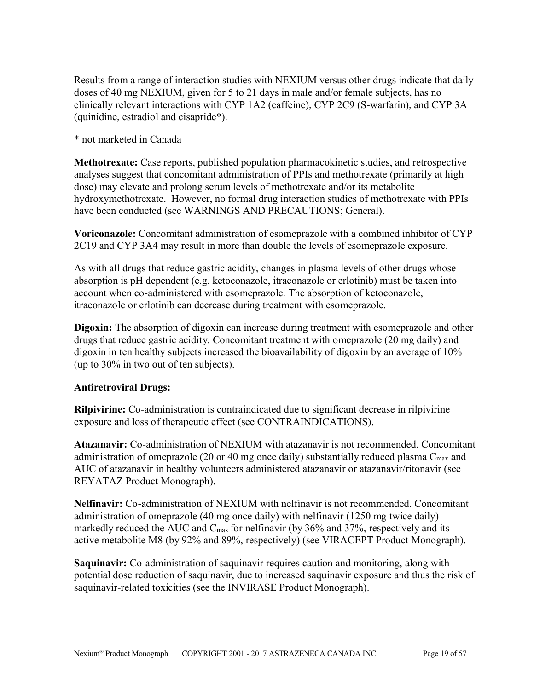Results from a range of interaction studies with NEXIUM versus other drugs indicate that daily doses of 40 mg NEXIUM, given for 5 to 21 days in male and/or female subjects, has no clinically relevant interactions with CYP 1A2 (caffeine), CYP 2C9 (S-warfarin), and CYP 3A (quinidine, estradiol and cisapride\*).

\* not marketed in Canada

**Methotrexate:** Case reports, published population pharmacokinetic studies, and retrospective analyses suggest that concomitant administration of PPIs and methotrexate (primarily at high dose) may elevate and prolong serum levels of methotrexate and/or its metabolite hydroxymethotrexate. However, no formal drug interaction studies of methotrexate with PPIs have been conducted (see WARNINGS AND PRECAUTIONS; General).

**Voriconazole:** Concomitant administration of esomeprazole with a combined inhibitor of CYP 2C19 and CYP 3A4 may result in more than double the levels of esomeprazole exposure.

As with all drugs that reduce gastric acidity, changes in plasma levels of other drugs whose absorption is pH dependent (e.g. ketoconazole, itraconazole or erlotinib) must be taken into account when co-administered with esomeprazole. The absorption of ketoconazole, itraconazole or erlotinib can decrease during treatment with esomeprazole.

**Digoxin:** The absorption of digoxin can increase during treatment with esomeprazole and other drugs that reduce gastric acidity. Concomitant treatment with omeprazole (20 mg daily) and digoxin in ten healthy subjects increased the bioavailability of digoxin by an average of 10% (up to 30% in two out of ten subjects).

### **Antiretroviral Drugs:**

**Rilpivirine:** Co-administration is contraindicated due to significant decrease in rilpivirine exposure and loss of therapeutic effect (see CONTRAINDICATIONS).

**Atazanavir:** Co-administration of NEXIUM with atazanavir is not recommended. Concomitant administration of omeprazole (20 or 40 mg once daily) substantially reduced plasma  $C_{\text{max}}$  and AUC of atazanavir in healthy volunteers administered atazanavir or atazanavir/ritonavir (see REYATAZ Product Monograph).

**Nelfinavir:** Co-administration of NEXIUM with nelfinavir is not recommended. Concomitant administration of omeprazole (40 mg once daily) with nelfinavir (1250 mg twice daily) markedly reduced the AUC and C<sub>max</sub> for nelfinavir (by 36% and 37%, respectively and its active metabolite M8 (by 92% and 89%, respectively) (see VIRACEPT Product Monograph).

**Saquinavir:** Co-administration of saquinavir requires caution and monitoring, along with potential dose reduction of saquinavir, due to increased saquinavir exposure and thus the risk of saquinavir-related toxicities (see the INVIRASE Product Monograph).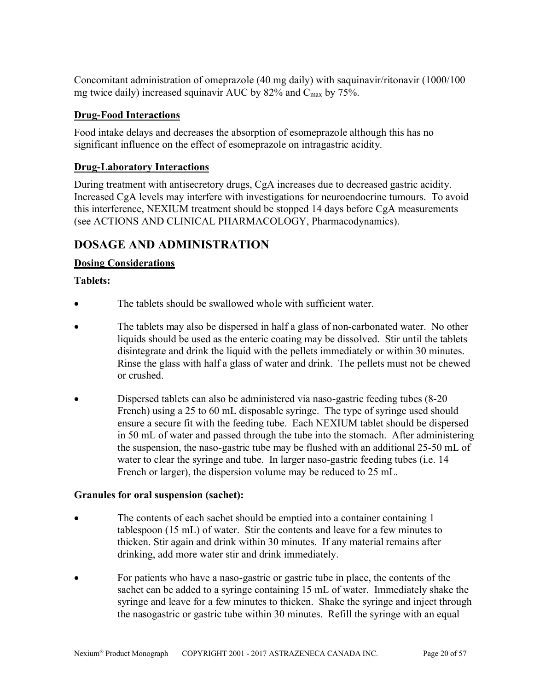Concomitant administration of omeprazole (40 mg daily) with saquinavir/ritonavir (1000/100 mg twice daily) increased squinavir AUC by 82% and Cmax by 75%.

# **Drug-Food Interactions**

Food intake delays and decreases the absorption of esomeprazole although this has no significant influence on the effect of esomeprazole on intragastric acidity.

# **Drug-Laboratory Interactions**

During treatment with antisecretory drugs, CgA increases due to decreased gastric acidity. Increased CgA levels may interfere with investigations for neuroendocrine tumours. To avoid this interference, NEXIUM treatment should be stopped 14 days before CgA measurements (see ACTIONS AND CLINICAL PHARMACOLOGY, Pharmacodynamics).

# <span id="page-19-0"></span>**DOSAGE AND ADMINISTRATION**

# **Dosing Considerations**

# **Tablets:**

- The tablets should be swallowed whole with sufficient water.
- The tablets may also be dispersed in half a glass of non-carbonated water. No other liquids should be used as the enteric coating may be dissolved. Stir until the tablets disintegrate and drink the liquid with the pellets immediately or within 30 minutes. Rinse the glass with half a glass of water and drink. The pellets must not be chewed or crushed.
- Dispersed tablets can also be administered via naso-gastric feeding tubes (8-20 French) using a 25 to 60 mL disposable syringe. The type of syringe used should ensure a secure fit with the feeding tube. Each NEXIUM tablet should be dispersed in 50 mL of water and passed through the tube into the stomach. After administering the suspension, the naso-gastric tube may be flushed with an additional 25-50 mL of water to clear the syringe and tube. In larger naso-gastric feeding tubes (i.e. 14 French or larger), the dispersion volume may be reduced to 25 mL.

# **Granules for oral suspension (sachet):**

- The contents of each sachet should be emptied into a container containing 1 tablespoon (15 mL) of water. Stir the contents and leave for a few minutes to thicken. Stir again and drink within 30 minutes. If any material remains after drinking, add more water stir and drink immediately.
- For patients who have a naso-gastric or gastric tube in place, the contents of the sachet can be added to a syringe containing 15 mL of water. Immediately shake the syringe and leave for a few minutes to thicken. Shake the syringe and inject through the nasogastric or gastric tube within 30 minutes. Refill the syringe with an equal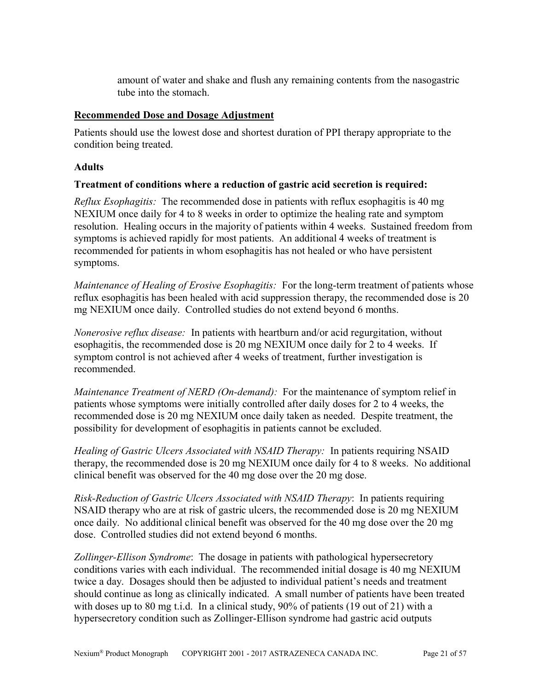amount of water and shake and flush any remaining contents from the nasogastric tube into the stomach.

### **Recommended Dose and Dosage Adjustment**

Patients should use the lowest dose and shortest duration of PPI therapy appropriate to the condition being treated.

### **Adults**

# **Treatment of conditions where a reduction of gastric acid secretion is required:**

*Reflux Esophagitis:* The recommended dose in patients with reflux esophagitis is 40 mg NEXIUM once daily for 4 to 8 weeks in order to optimize the healing rate and symptom resolution. Healing occurs in the majority of patients within 4 weeks. Sustained freedom from symptoms is achieved rapidly for most patients. An additional 4 weeks of treatment is recommended for patients in whom esophagitis has not healed or who have persistent symptoms.

*Maintenance of Healing of Erosive Esophagitis:* For the long-term treatment of patients whose reflux esophagitis has been healed with acid suppression therapy, the recommended dose is 20 mg NEXIUM once daily. Controlled studies do not extend beyond 6 months.

*Nonerosive reflux disease:* In patients with heartburn and/or acid regurgitation, without esophagitis, the recommended dose is 20 mg NEXIUM once daily for 2 to 4 weeks. If symptom control is not achieved after 4 weeks of treatment, further investigation is recommended.

*Maintenance Treatment of NERD (On-demand):* For the maintenance of symptom relief in patients whose symptoms were initially controlled after daily doses for 2 to 4 weeks, the recommended dose is 20 mg NEXIUM once daily taken as needed. Despite treatment, the possibility for development of esophagitis in patients cannot be excluded.

*Healing of Gastric Ulcers Associated with NSAID Therapy:* In patients requiring NSAID therapy, the recommended dose is 20 mg NEXIUM once daily for 4 to 8 weeks. No additional clinical benefit was observed for the 40 mg dose over the 20 mg dose.

*Risk-Reduction of Gastric Ulcers Associated with NSAID Therapy*: In patients requiring NSAID therapy who are at risk of gastric ulcers, the recommended dose is 20 mg NEXIUM once daily. No additional clinical benefit was observed for the 40 mg dose over the 20 mg dose. Controlled studies did not extend beyond 6 months.

*Zollinger-Ellison Syndrome*: The dosage in patients with pathological hypersecretory conditions varies with each individual. The recommended initial dosage is 40 mg NEXIUM twice a day. Dosages should then be adjusted to individual patient's needs and treatment should continue as long as clinically indicated. A small number of patients have been treated with doses up to 80 mg t.i.d. In a clinical study, 90% of patients (19 out of 21) with a hypersecretory condition such as Zollinger-Ellison syndrome had gastric acid outputs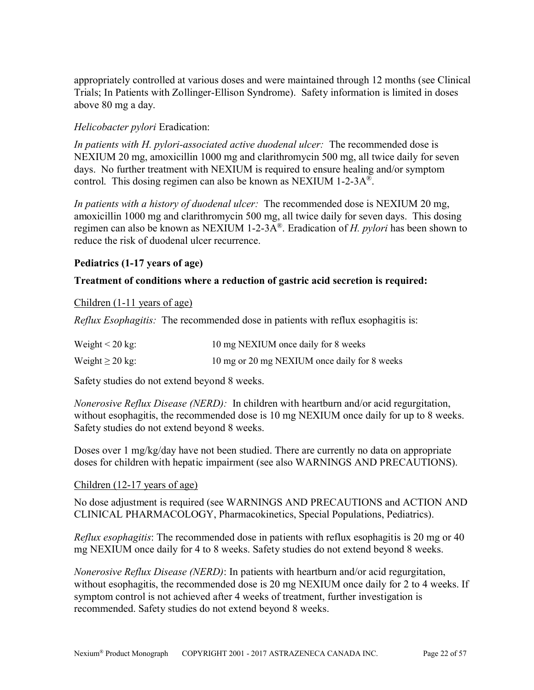appropriately controlled at various doses and were maintained through 12 months (see Clinical Trials; In Patients with Zollinger-Ellison Syndrome). Safety information is limited in doses above 80 mg a day.

### *Helicobacter pylori* Eradication:

*In patients with H. pylori-associated active duodenal ulcer:* The recommended dose is NEXIUM 20 mg, amoxicillin 1000 mg and clarithromycin 500 mg, all twice daily for seven days. No further treatment with NEXIUM is required to ensure healing and/or symptom control. This dosing regimen can also be known as NEXIUM 1-2-3A® .

*In patients with a history of duodenal ulcer:* The recommended dose is NEXIUM 20 mg, amoxicillin 1000 mg and clarithromycin 500 mg, all twice daily for seven days. This dosing regimen can also be known as NEXIUM 1-2-3A® . Eradication of *H. pylori* has been shown to reduce the risk of duodenal ulcer recurrence.

### **Pediatrics (1-17 years of age)**

### **Treatment of conditions where a reduction of gastric acid secretion is required:**

Children (1-11 years of age)

*Reflux Esophagitis:* The recommended dose in patients with reflux esophagitis is:

| Weight $\leq 20$ kg: | 10 mg NEXIUM once daily for 8 weeks          |
|----------------------|----------------------------------------------|
| Weight $\geq 20$ kg: | 10 mg or 20 mg NEXIUM once daily for 8 weeks |

Safety studies do not extend beyond 8 weeks.

*Nonerosive Reflux Disease (NERD):* In children with heartburn and/or acid regurgitation, without esophagitis, the recommended dose is 10 mg NEXIUM once daily for up to 8 weeks. Safety studies do not extend beyond 8 weeks.

Doses over 1 mg/kg/day have not been studied. There are currently no data on appropriate doses for children with hepatic impairment (see also WARNINGS AND PRECAUTIONS).

### Children (12-17 years of age)

No dose adjustment is required (see WARNINGS AND PRECAUTIONS and ACTION AND CLINICAL PHARMACOLOGY, Pharmacokinetics, Special Populations, Pediatrics).

*Reflux esophagitis*: The recommended dose in patients with reflux esophagitis is 20 mg or 40 mg NEXIUM once daily for 4 to 8 weeks. Safety studies do not extend beyond 8 weeks.

*Nonerosive Reflux Disease (NERD)*: In patients with heartburn and/or acid regurgitation, without esophagitis, the recommended dose is 20 mg NEXIUM once daily for 2 to 4 weeks. If symptom control is not achieved after 4 weeks of treatment, further investigation is recommended. Safety studies do not extend beyond 8 weeks.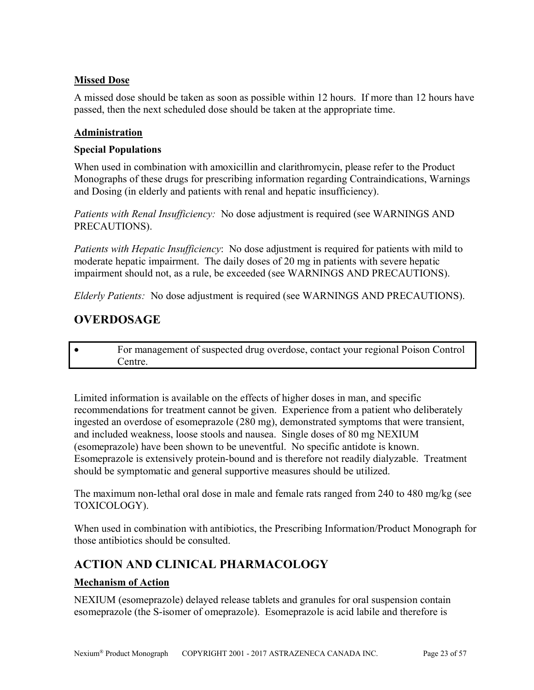# **Missed Dose**

A missed dose should be taken as soon as possible within 12 hours. If more than 12 hours have passed, then the next scheduled dose should be taken at the appropriate time.

### **Administration**

### **Special Populations**

When used in combination with amoxicillin and clarithromycin, please refer to the Product Monographs of these drugs for prescribing information regarding Contraindications, Warnings and Dosing (in elderly and patients with renal and hepatic insufficiency).

*Patients with Renal Insufficiency:* No dose adjustment is required (see WARNINGS AND PRECAUTIONS).

*Patients with Hepatic Insufficiency*: No dose adjustment is required for patients with mild to moderate hepatic impairment. The daily doses of 20 mg in patients with severe hepatic impairment should not, as a rule, be exceeded (see WARNINGS AND PRECAUTIONS).

*Elderly Patients:* No dose adjustment is required (see WARNINGS AND PRECAUTIONS).

# <span id="page-22-1"></span>**OVERDOSAGE**

 For management of suspected drug overdose, contact your regional Poison Control Centre.

Limited information is available on the effects of higher doses in man, and specific recommendations for treatment cannot be given. Experience from a patient who deliberately ingested an overdose of esomeprazole (280 mg), demonstrated symptoms that were transient, and included weakness, loose stools and nausea. Single doses of 80 mg NEXIUM (esomeprazole) have been shown to be uneventful. No specific antidote is known. Esomeprazole is extensively protein-bound and is therefore not readily dialyzable. Treatment should be symptomatic and general supportive measures should be utilized.

The maximum non-lethal oral dose in male and female rats ranged from 240 to 480 mg/kg (see TOXICOLOGY).

When used in combination with antibiotics, the Prescribing Information/Product Monograph for those antibiotics should be consulted.

# <span id="page-22-0"></span>**ACTION AND CLINICAL PHARMACOLOGY**

# **Mechanism of Action**

NEXIUM (esomeprazole) delayed release tablets and granules for oral suspension contain esomeprazole (the S-isomer of omeprazole). Esomeprazole is acid labile and therefore is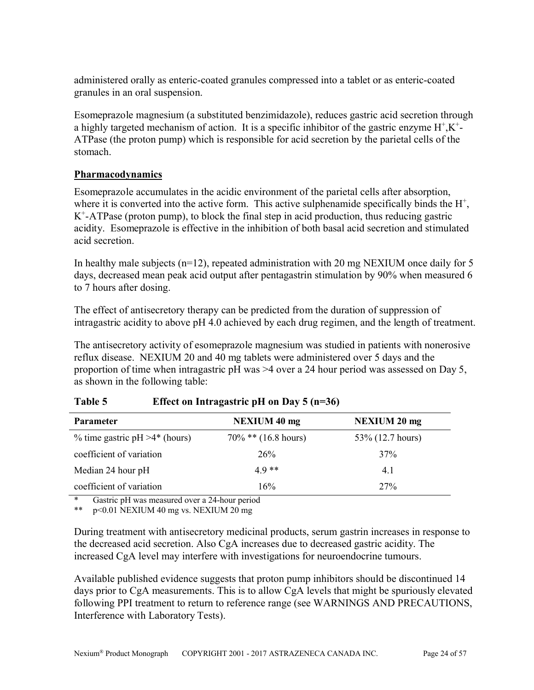administered orally as enteric-coated granules compressed into a tablet or as enteric-coated granules in an oral suspension.

Esomeprazole magnesium (a substituted benzimidazole), reduces gastric acid secretion through a highly targeted mechanism of action. It is a specific inhibitor of the gastric enzyme  $H^+$ ,  $K^+$ -ATPase (the proton pump) which is responsible for acid secretion by the parietal cells of the stomach.

# **Pharmacodynamics**

Esomeprazole accumulates in the acidic environment of the parietal cells after absorption, where it is converted into the active form. This active sulphenamide specifically binds the  $H^+$ , K + -ATPase (proton pump), to block the final step in acid production, thus reducing gastric acidity. Esomeprazole is effective in the inhibition of both basal acid secretion and stimulated acid secretion.

In healthy male subjects ( $n=12$ ), repeated administration with 20 mg NEXIUM once daily for 5 days, decreased mean peak acid output after pentagastrin stimulation by 90% when measured 6 to 7 hours after dosing.

The effect of antisecretory therapy can be predicted from the duration of suppression of intragastric acidity to above pH 4.0 achieved by each drug regimen, and the length of treatment.

The antisecretory activity of esomeprazole magnesium was studied in patients with nonerosive reflux disease. NEXIUM 20 and 40 mg tablets were administered over 5 days and the proportion of time when intragastric pH was >4 over a 24 hour period was assessed on Day 5, as shown in the following table:

| <b>Parameter</b>                  | <b>NEXIUM 40 mg</b>    | <b>NEXIUM 20 mg</b> |
|-----------------------------------|------------------------|---------------------|
| % time gastric $pH > 4$ * (hours) | $70\%$ ** (16.8 hours) | 53\% (12.7 hours)   |
| coefficient of variation          | 26%                    | 37%                 |
| Median 24 hour pH                 | $4.9**$                | 4.1                 |
| coefficient of variation          | 16%                    | 27%                 |

# **Table 5 Effect on Intragastric pH on Day 5 (n=36)**

Gastric pH was measured over a 24-hour period

\*\* p<0.01 NEXIUM 40 mg vs. NEXIUM 20 mg

During treatment with antisecretory medicinal products, serum gastrin increases in response to the decreased acid secretion. Also CgA increases due to decreased gastric acidity. The increased CgA level may interfere with investigations for neuroendocrine tumours.

Available published evidence suggests that proton pump inhibitors should be discontinued 14 days prior to CgA measurements. This is to allow CgA levels that might be spuriously elevated following PPI treatment to return to reference range (see WARNINGS AND PRECAUTIONS, Interference with Laboratory Tests).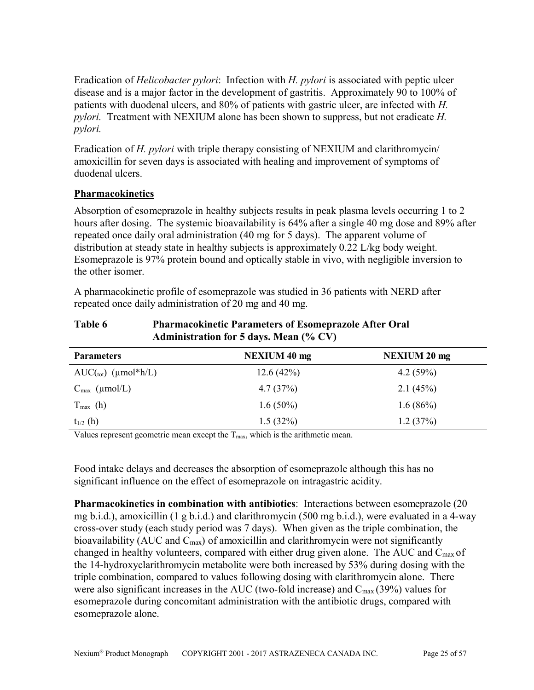Eradication of *Helicobacter pylori*: Infection with *H. pylori* is associated with peptic ulcer disease and is a major factor in the development of gastritis. Approximately 90 to 100% of patients with duodenal ulcers, and 80% of patients with gastric ulcer, are infected with *H. pylori.* Treatment with NEXIUM alone has been shown to suppress, but not eradicate *H. pylori.* 

Eradication of *H. pylori* with triple therapy consisting of NEXIUM and clarithromycin/ amoxicillin for seven days is associated with healing and improvement of symptoms of duodenal ulcers.

# **Pharmacokinetics**

Absorption of esomeprazole in healthy subjects results in peak plasma levels occurring 1 to 2 hours after dosing. The systemic bioavailability is 64% after a single 40 mg dose and 89% after repeated once daily oral administration (40 mg for 5 days). The apparent volume of distribution at steady state in healthy subjects is approximately 0.22 L/kg body weight. Esomeprazole is 97% protein bound and optically stable in vivo, with negligible inversion to the other isomer.

A pharmacokinetic profile of esomeprazole was studied in 36 patients with NERD after repeated once daily administration of 20 mg and 40 mg.

| Table 6 | <b>Pharmacokinetic Parameters of Esomeprazole After Oral</b> |
|---------|--------------------------------------------------------------|
|         | <b>Administration for 5 days. Mean (% CV)</b>                |

| <b>Parameters</b>         | <b>NEXIUM 40 mg</b> | <b>NEXIUM 20 mg</b> |
|---------------------------|---------------------|---------------------|
| $AUC(tot)$ (µmol*h/L)     | 12.6(42%)           | 4.2(59%)            |
| $C_{\text{max}}$ (µmol/L) | 4.7(37%)            | 2.1(45%)            |
| $T_{\text{max}}$ (h)      | $1.6(50\%)$         | $1.6(86\%)$         |
| $t_{1/2}$ (h)             | $1.5(32\%)$         | 1.2(37%)            |

Values represent geometric mean except the  $T_{\text{max}}$ , which is the arithmetic mean.

Food intake delays and decreases the absorption of esomeprazole although this has no significant influence on the effect of esomeprazole on intragastric acidity.

**Pharmacokinetics in combination with antibiotics**: Interactions between esomeprazole (20 mg b.i.d.), amoxicillin (1 g b.i.d.) and clarithromycin (500 mg b.i.d.), were evaluated in a 4-way cross-over study (each study period was 7 days). When given as the triple combination, the bioavailability (AUC and  $C_{\text{max}}$ ) of amoxicillin and clarithromycin were not significantly changed in healthy volunteers, compared with either drug given alone. The AUC and  $C_{\text{max}}$  of the 14-hydroxyclarithromycin metabolite were both increased by 53% during dosing with the triple combination, compared to values following dosing with clarithromycin alone. There were also significant increases in the AUC (two-fold increase) and  $C_{\text{max}}(39\%)$  values for esomeprazole during concomitant administration with the antibiotic drugs, compared with esomeprazole alone.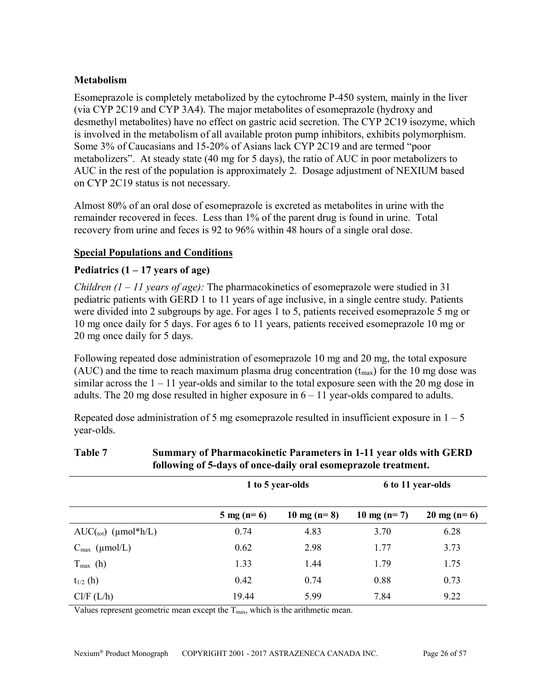### **Metabolism**

Esomeprazole is completely metabolized by the cytochrome P-450 system, mainly in the liver (via CYP 2C19 and CYP 3A4). The major metabolites of esomeprazole (hydroxy and desmethyl metabolites) have no effect on gastric acid secretion. The CYP 2C19 isozyme, which is involved in the metabolism of all available proton pump inhibitors, exhibits polymorphism. Some 3% of Caucasians and 15-20% of Asians lack CYP 2C19 and are termed "poor metabolizers". At steady state (40 mg for 5 days), the ratio of AUC in poor metabolizers to AUC in the rest of the population is approximately 2. Dosage adjustment of NEXIUM based on CYP 2C19 status is not necessary.

Almost 80% of an oral dose of esomeprazole is excreted as metabolites in urine with the remainder recovered in feces. Less than 1% of the parent drug is found in urine. Total recovery from urine and feces is 92 to 96% within 48 hours of a single oral dose.

### **Special Populations and Conditions**

### **Pediatrics (1 – 17 years of age)**

*Children (1 – 11 years of age):* The pharmacokinetics of esomeprazole were studied in 31 pediatric patients with GERD 1 to 11 years of age inclusive, in a single centre study. Patients were divided into 2 subgroups by age. For ages 1 to 5, patients received esomeprazole 5 mg or 10 mg once daily for 5 days. For ages 6 to 11 years, patients received esomeprazole 10 mg or 20 mg once daily for 5 days.

Following repeated dose administration of esomeprazole 10 mg and 20 mg, the total exposure (AUC) and the time to reach maximum plasma drug concentration  $(t_{max})$  for the 10 mg dose was similar across the  $1 - 11$  year-olds and similar to the total exposure seen with the 20 mg dose in adults. The 20 mg dose resulted in higher exposure in  $6 - 11$  year-olds compared to adults.

Repeated dose administration of 5 mg esomeprazole resulted in insufficient exposure in  $1 - 5$ year-olds.

|                                | 1 to 5 year-olds     |               | 6 to 11 year-olds |                       |
|--------------------------------|----------------------|---------------|-------------------|-----------------------|
|                                | $5 \text{ mg} (n=6)$ | 10 mg $(n=8)$ | 10 mg (n= 7)      | $20 \text{ mg} (n=6)$ |
| $AUC({\text{tot}})$ (µmol*h/L) | 0.74                 | 4.83          | 3.70              | 6.28                  |
| $C_{\text{max}}$ (µmol/L)      | 0.62                 | 2.98          | 1.77              | 3.73                  |
| $T_{\text{max}}$ (h)           | 1.33                 | 1.44          | 1.79              | 1.75                  |
| $t_{1/2}$ (h)                  | 0.42                 | 0.74          | 0.88              | 0.73                  |
| Cl/F (L/h)                     | 19.44                | 5.99          | 7.84              | 9.22                  |

# **Table 7 Summary of Pharmacokinetic Parameters in 1-11 year olds with GERD following of 5-days of once-daily oral esomeprazole treatment.**

Values represent geometric mean except the  $T_{\text{max}}$ , which is the arithmetic mean.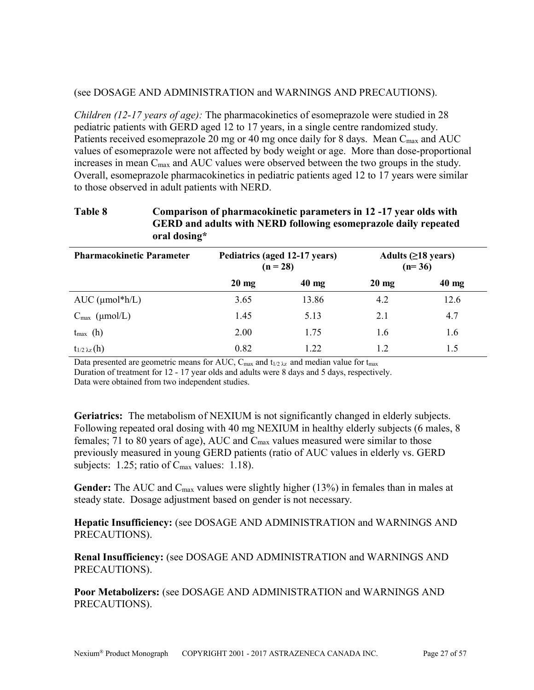#### (see DOSAGE AND ADMINISTRATION and WARNINGS AND PRECAUTIONS).

*Children (12-17 years of age):* The pharmacokinetics of esomeprazole were studied in 28 pediatric patients with GERD aged 12 to 17 years, in a single centre randomized study. Patients received esomeprazole 20 mg or 40 mg once daily for 8 days. Mean C<sub>max</sub> and AUC values of esomeprazole were not affected by body weight or age. More than dose-proportional increases in mean  $C_{\text{max}}$  and AUC values were observed between the two groups in the study. Overall, esomeprazole pharmacokinetics in pediatric patients aged 12 to 17 years were similar to those observed in adult patients with NERD.

### **Table 8 Comparison of pharmacokinetic parameters in 12 -17 year olds with GERD and adults with NERD following esomeprazole daily repeated oral dosing\***

| <b>Pharmacokinetic Parameter</b> | Pediatrics (aged 12-17 years)<br>$(n = 28)$ |                 | Adults $(≥18 \text{ years})$<br>$(n=36)$ |                 |
|----------------------------------|---------------------------------------------|-----------------|------------------------------------------|-----------------|
|                                  | $20 \text{ mg}$                             | $40 \text{ mg}$ | $20 \text{ mg}$                          | $40 \text{ mg}$ |
| AUC $(\mu mol^*h/L)$             | 3.65                                        | 13.86           | 4.2                                      | 12.6            |
| $C_{\text{max}}$ (µmol/L)        | 1.45                                        | 5.13            | 2.1                                      | 4.7             |
| $t_{\text{max}}$ (h)             | 2.00                                        | 1.75            | 1.6                                      | 1.6             |
| $t_{1/2} \lambda_{z}(h)$         | 0.82                                        | 1.22            | 1.2                                      | 1.5             |

Data presented are geometric means for AUC,  $C_{\text{max}}$  and  $t_{1/2 \lambda z}$  and median value for  $t_{\text{max}}$ 

Duration of treatment for 12 - 17 year olds and adults were 8 days and 5 days, respectively. Data were obtained from two independent studies.

**Geriatrics:** The metabolism of NEXIUM is not significantly changed in elderly subjects. Following repeated oral dosing with 40 mg NEXIUM in healthy elderly subjects (6 males, 8 females; 71 to 80 years of age), AUC and Cmax values measured were similar to those previously measured in young GERD patients (ratio of AUC values in elderly vs. GERD subjects:  $1.25$ ; ratio of  $C_{\text{max}}$  values:  $1.18$ ).

Gender: The AUC and C<sub>max</sub> values were slightly higher (13%) in females than in males at steady state. Dosage adjustment based on gender is not necessary.

**Hepatic Insufficiency:** (see DOSAGE AND ADMINISTRATION and WARNINGS AND PRECAUTIONS).

**Renal Insufficiency:** (see DOSAGE AND ADMINISTRATION and WARNINGS AND PRECAUTIONS).

**Poor Metabolizers:** (see DOSAGE AND ADMINISTRATION and WARNINGS AND PRECAUTIONS).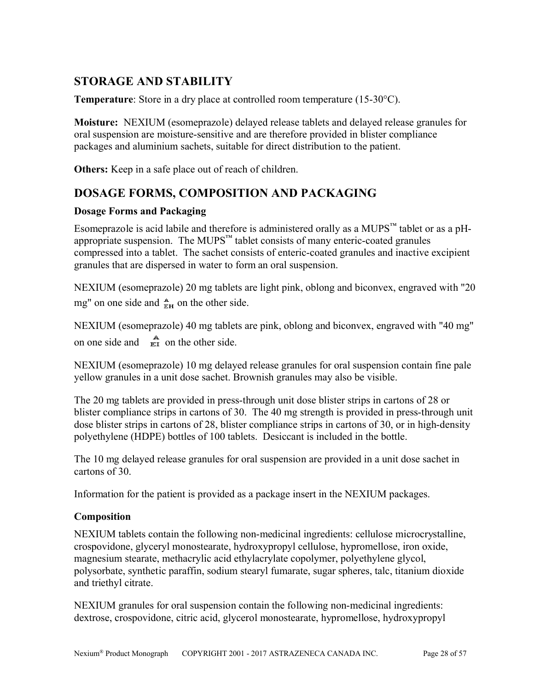# <span id="page-27-1"></span>**STORAGE AND STABILITY**

**Temperature**: Store in a dry place at controlled room temperature (15-30°C).

**Moisture:** NEXIUM (esomeprazole) delayed release tablets and delayed release granules for oral suspension are moisture-sensitive and are therefore provided in blister compliance packages and aluminium sachets, suitable for direct distribution to the patient.

**Others:** Keep in a safe place out of reach of children.

# <span id="page-27-0"></span>**DOSAGE FORMS, COMPOSITION AND PACKAGING**

### **Dosage Forms and Packaging**

Esomeprazole is acid labile and therefore is administered orally as a MUPS™ tablet or as a pHappropriate suspension. The MUPS<sup>™</sup> tablet consists of many enteric-coated granules compressed into a tablet. The sachet consists of enteric-coated granules and inactive excipient granules that are dispersed in water to form an oral suspension.

NEXIUM (esomeprazole) 20 mg tablets are light pink, oblong and biconvex, engraved with "20 mg" on one side and  $\frac{A}{FH}$  on the other side.

NEXIUM (esomeprazole) 40 mg tablets are pink, oblong and biconvex, engraved with "40 mg" on one side and  $\vec{E}$  on the other side.

NEXIUM (esomeprazole) 10 mg delayed release granules for oral suspension contain fine pale yellow granules in a unit dose sachet. Brownish granules may also be visible.

The 20 mg tablets are provided in press-through unit dose blister strips in cartons of 28 or blister compliance strips in cartons of 30. The 40 mg strength is provided in press-through unit dose blister strips in cartons of 28, blister compliance strips in cartons of 30, or in high-density polyethylene (HDPE) bottles of 100 tablets. Desiccant is included in the bottle.

The 10 mg delayed release granules for oral suspension are provided in a unit dose sachet in cartons of 30.

Information for the patient is provided as a package insert in the NEXIUM packages.

# **Composition**

NEXIUM tablets contain the following non-medicinal ingredients: cellulose microcrystalline, crospovidone, glyceryl monostearate, hydroxypropyl cellulose, hypromellose, iron oxide, magnesium stearate, methacrylic acid ethylacrylate copolymer, polyethylene glycol, polysorbate, synthetic paraffin, sodium stearyl fumarate, sugar spheres, talc, titanium dioxide and triethyl citrate.

NEXIUM granules for oral suspension contain the following non-medicinal ingredients: dextrose, crospovidone, citric acid, glycerol monostearate, hypromellose, hydroxypropyl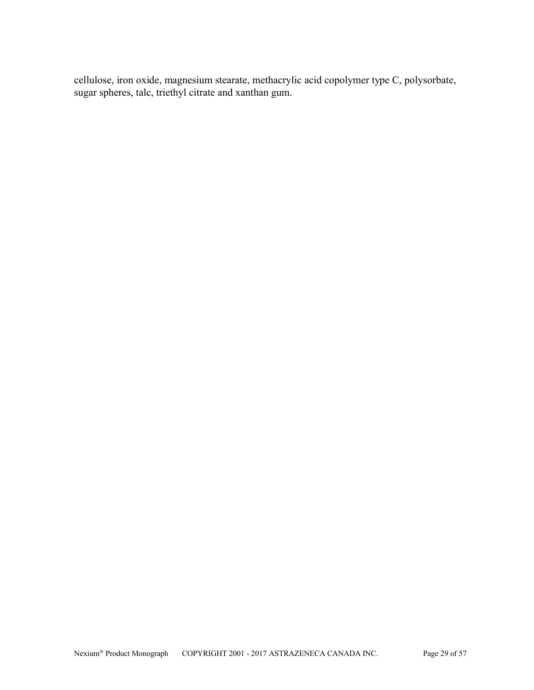cellulose, iron oxide, magnesium stearate, methacrylic acid copolymer type C, polysorbate, sugar spheres, talc, triethyl citrate and xanthan gum.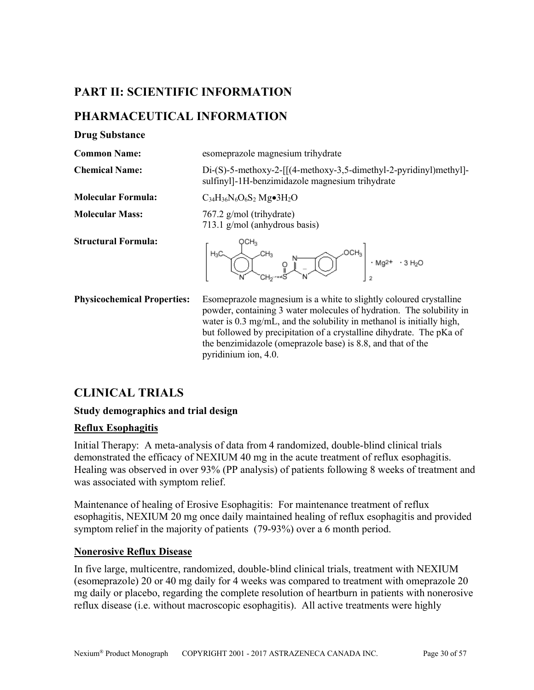# <span id="page-29-2"></span>**PART II: SCIENTIFIC INFORMATION**

# <span id="page-29-1"></span>**PHARMACEUTICAL INFORMATION**

**Drug Substance**

**Common Name:** esomeprazole magnesium trihydrate

**Chemical Name:** Di-(S)-5-methoxy-2-[[(4-methoxy-3,5-dimethyl-2-pyridinyl)methyl]-

**Molecular Formula:**  $C_{34}H_{36}N_6O_6S_2Mg\bullet 3H_2O$ 

**Molecular Mass:** 767.2 g/mol (trihydrate) 713.1 g/mol (anhydrous basis)

**Structural Formula:**



sulfinyl]-1H-benzimidazole magnesium trihydrate

**Physicochemical Properties:** Esomeprazole magnesium is a white to slightly coloured crystalline powder, containing 3 water molecules of hydration. The solubility in water is 0.3 mg/mL, and the solubility in methanol is initially high, but followed by precipitation of a crystalline dihydrate. The pKa of the benzimidazole (omeprazole base) is 8.8, and that of the pyridinium ion, 4.0.

# <span id="page-29-0"></span>**CLINICAL TRIALS**

# **Study demographics and trial design**

# **Reflux Esophagitis**

Initial Therapy: A meta-analysis of data from 4 randomized, double-blind clinical trials demonstrated the efficacy of NEXIUM 40 mg in the acute treatment of reflux esophagitis. Healing was observed in over 93% (PP analysis) of patients following 8 weeks of treatment and was associated with symptom relief.

Maintenance of healing of Erosive Esophagitis: For maintenance treatment of reflux esophagitis, NEXIUM 20 mg once daily maintained healing of reflux esophagitis and provided symptom relief in the majority of patients (79-93%) over a 6 month period.

# **Nonerosive Reflux Disease**

In five large, multicentre, randomized, double-blind clinical trials, treatment with NEXIUM (esomeprazole) 20 or 40 mg daily for 4 weeks was compared to treatment with omeprazole 20 mg daily or placebo, regarding the complete resolution of heartburn in patients with nonerosive reflux disease (i.e. without macroscopic esophagitis). All active treatments were highly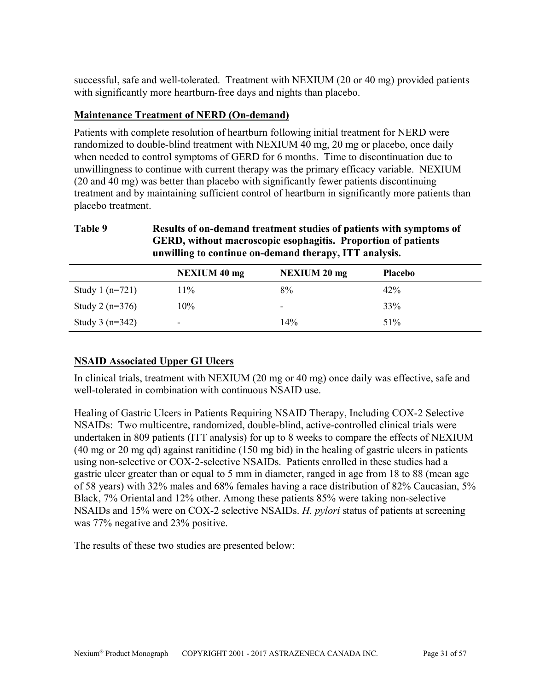successful, safe and well-tolerated. Treatment with NEXIUM (20 or 40 mg) provided patients with significantly more heartburn-free days and nights than placebo.

# **Maintenance Treatment of NERD (On-demand)**

Patients with complete resolution of heartburn following initial treatment for NERD were randomized to double-blind treatment with NEXIUM 40 mg, 20 mg or placebo, once daily when needed to control symptoms of GERD for 6 months. Time to discontinuation due to unwillingness to continue with current therapy was the primary efficacy variable. NEXIUM (20 and 40 mg) was better than placebo with significantly fewer patients discontinuing treatment and by maintaining sufficient control of heartburn in significantly more patients than placebo treatment.

| Table 9           |                     | Results of on-demand treatment studies of patients with symptoms of<br>GERD, without macroscopic esophagitis. Proportion of patients<br>unwilling to continue on-demand therapy, ITT analysis. |                |  |  |  |  |
|-------------------|---------------------|------------------------------------------------------------------------------------------------------------------------------------------------------------------------------------------------|----------------|--|--|--|--|
|                   | <b>NEXIUM 40 mg</b> | <b>NEXIUM 20 mg</b>                                                                                                                                                                            | <b>Placebo</b> |  |  |  |  |
| Study 1 $(n=721)$ | $11\%$              | $8\%$                                                                                                                                                                                          | 42%            |  |  |  |  |

Study 2 ( $n=376$ ) 10% - 33% Study 3 (n=342)  $-$  14% 51% 51%

# **NSAID Associated Upper GI Ulcers**

In clinical trials, treatment with NEXIUM (20 mg or 40 mg) once daily was effective, safe and well-tolerated in combination with continuous NSAID use.

Healing of Gastric Ulcers in Patients Requiring NSAID Therapy, Including COX-2 Selective NSAIDs: Two multicentre, randomized, double-blind, active-controlled clinical trials were undertaken in 809 patients (ITT analysis) for up to 8 weeks to compare the effects of NEXIUM (40 mg or 20 mg qd) against ranitidine (150 mg bid) in the healing of gastric ulcers in patients using non-selective or COX-2-selective NSAIDs. Patients enrolled in these studies had a gastric ulcer greater than or equal to 5 mm in diameter, ranged in age from 18 to 88 (mean age of 58 years) with 32% males and 68% females having a race distribution of 82% Caucasian, 5% Black, 7% Oriental and 12% other. Among these patients 85% were taking non-selective NSAIDs and 15% were on COX-2 selective NSAIDs. *H. pylori* status of patients at screening was 77% negative and 23% positive.

The results of these two studies are presented below: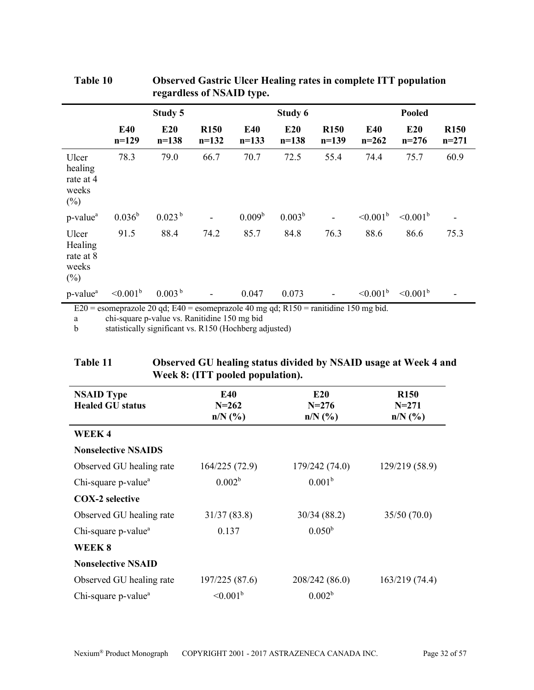|                                                  |                       | 0                                        |                        | $\cdot$ .             |                  |                                  |                                                                   |                      |                        |
|--------------------------------------------------|-----------------------|------------------------------------------|------------------------|-----------------------|------------------|----------------------------------|-------------------------------------------------------------------|----------------------|------------------------|
|                                                  |                       | Study 5                                  |                        |                       | Study 6          |                                  |                                                                   | Pooled               |                        |
|                                                  | <b>E40</b><br>$n=129$ | E20<br>$n = 138$                         | <b>R150</b><br>$n=132$ | <b>E40</b><br>$n=133$ | E20<br>$n = 138$ | <b>R150</b><br>$n=139$           | <b>E40</b><br>$n=262$                                             | E20<br>$n=276$       | <b>R150</b><br>$n=271$ |
| Ulcer<br>healing<br>rate at 4<br>weeks<br>$(\%)$ | 78.3                  | 79.0                                     | 66.7                   | 70.7                  | 72.5             | 55.4                             | 74.4                                                              | 75.7                 | 60.9                   |
| p-value <sup>a</sup>                             | $0.036^{b}$           | 0.023 <sup>b</sup>                       |                        | 0.009 <sup>b</sup>    | $0.003^{b}$      |                                  | $\leq 0.001^{\rm b}$                                              | $\leq 0.001^{\rm b}$ |                        |
| Ulcer<br>Healing<br>rate at 8<br>weeks<br>$(\%)$ | 91.5                  | 88.4                                     | 74.2                   | 85.7                  | 84.8             | 76.3                             | 88.6                                                              | 86.6                 | 75.3                   |
| p-value <sup>a</sup><br>$\mathbf{a}$             | $\leq 0.001^b$        | 0.003 <sup>b</sup><br>$1.0011 \text{ m}$ |                        | 0.047                 | 0.073            | $\cdots$<br>$\sim$ $\sim$ $\sim$ | $\leq 0.001^{\rm b}$<br>$\rightarrow$ $\rightarrow$ $\rightarrow$ | $\leq 0.001^{\rm b}$ |                        |

| Table 10 | <b>Observed Gastric Ulcer Healing rates in complete ITT population</b> |
|----------|------------------------------------------------------------------------|
|          | regardless of NSAID type.                                              |

E20 = esomeprazole 20 qd; E40 = esomeprazole 40 mg qd; R150 = ranitidine 150 mg bid.

a chi-square p-value vs. Ranitidine 150 mg bid

b statistically significant vs. R150 (Hochberg adjusted)

| Table 11 | Observed GU healing status divided by NSAID usage at Week 4 and |
|----------|-----------------------------------------------------------------|
|          | Week 8: (ITT pooled population).                                |

| <b>NSAID Type</b><br><b>Healed GU status</b> | <b>E40</b><br>$N = 262$<br>$n/N$ (%) | <b>E20</b><br>$N = 276$<br>$n/N$ (%) | <b>R150</b><br>$N = 271$<br>$n/N$ (%) |
|----------------------------------------------|--------------------------------------|--------------------------------------|---------------------------------------|
| WEEK4                                        |                                      |                                      |                                       |
| <b>Nonselective NSAIDS</b>                   |                                      |                                      |                                       |
| Observed GU healing rate                     | 164/225(72.9)                        | 179/242 (74.0)                       | 129/219 (58.9)                        |
| Chi-square p-value <sup>a</sup>              | 0.002 <sup>b</sup>                   | 0.001 <sup>b</sup>                   |                                       |
| <b>COX-2</b> selective                       |                                      |                                      |                                       |
| Observed GU healing rate                     | 31/37(83.8)                          | 30/34(88.2)                          | 35/50(70.0)                           |
| Chi-square p-value <sup>a</sup>              | 0.137                                | $0.050^{b}$                          |                                       |
| WEEK 8                                       |                                      |                                      |                                       |
| <b>Nonselective NSAID</b>                    |                                      |                                      |                                       |
| Observed GU healing rate                     | 197/225 (87.6)                       | 208/242 (86.0)                       | 163/219(74.4)                         |
| Chi-square p-value <sup>a</sup>              | $\leq 0.001^{\rm b}$                 | 0.002 <sup>b</sup>                   |                                       |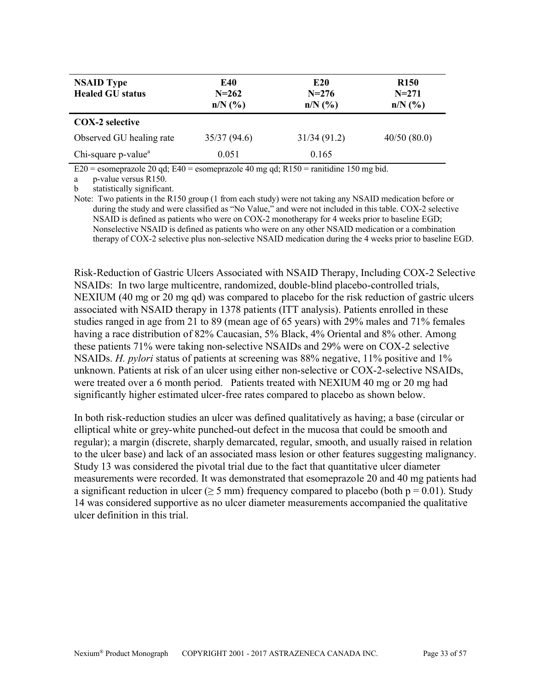| <b>NSAID Type</b><br><b>Healed GU status</b> | E40<br>$N = 262$<br>$n/N$ (%) | E <sub>20</sub><br>$N = 276$<br>$n/N$ (%) | <b>R150</b><br>$N = 271$<br>$n/N$ (%) |
|----------------------------------------------|-------------------------------|-------------------------------------------|---------------------------------------|
| <b>COX-2</b> selective                       |                               |                                           |                                       |
| Observed GU healing rate                     | 35/37(94.6)                   | 31/34(91.2)                               | 40/50(80.0)                           |
| Chi-square p-value <sup>a</sup>              | 0.051                         | 0.165                                     |                                       |

E20 = esomeprazole 20 qd; E40 = esomeprazole 40 mg qd; R150 = ranitidine 150 mg bid.

a p-value versus R150.

b statistically significant.

Note: Two patients in the R150 group (1 from each study) were not taking any NSAID medication before or during the study and were classified as "No Value," and were not included in this table. COX-2 selective NSAID is defined as patients who were on COX-2 monotherapy for 4 weeks prior to baseline EGD; Nonselective NSAID is defined as patients who were on any other NSAID medication or a combination therapy of COX-2 selective plus non-selective NSAID medication during the 4 weeks prior to baseline EGD.

Risk-Reduction of Gastric Ulcers Associated with NSAID Therapy, Including COX-2 Selective NSAIDs: In two large multicentre, randomized, double-blind placebo-controlled trials, NEXIUM (40 mg or 20 mg qd) was compared to placebo for the risk reduction of gastric ulcers associated with NSAID therapy in 1378 patients (ITT analysis). Patients enrolled in these studies ranged in age from 21 to 89 (mean age of 65 years) with 29% males and 71% females having a race distribution of 82% Caucasian, 5% Black, 4% Oriental and 8% other. Among these patients 71% were taking non-selective NSAIDs and 29% were on COX-2 selective NSAIDs. *H. pylori* status of patients at screening was 88% negative, 11% positive and 1% unknown. Patients at risk of an ulcer using either non-selective or COX-2-selective NSAIDs, were treated over a 6 month period. Patients treated with NEXIUM 40 mg or 20 mg had significantly higher estimated ulcer-free rates compared to placebo as shown below.

In both risk-reduction studies an ulcer was defined qualitatively as having; a base (circular or elliptical white or grey-white punched-out defect in the mucosa that could be smooth and regular); a margin (discrete, sharply demarcated, regular, smooth, and usually raised in relation to the ulcer base) and lack of an associated mass lesion or other features suggesting malignancy. Study 13 was considered the pivotal trial due to the fact that quantitative ulcer diameter measurements were recorded. It was demonstrated that esomeprazole 20 and 40 mg patients had a significant reduction in ulcer ( $\geq$  5 mm) frequency compared to placebo (both p = 0.01). Study 14 was considered supportive as no ulcer diameter measurements accompanied the qualitative ulcer definition in this trial.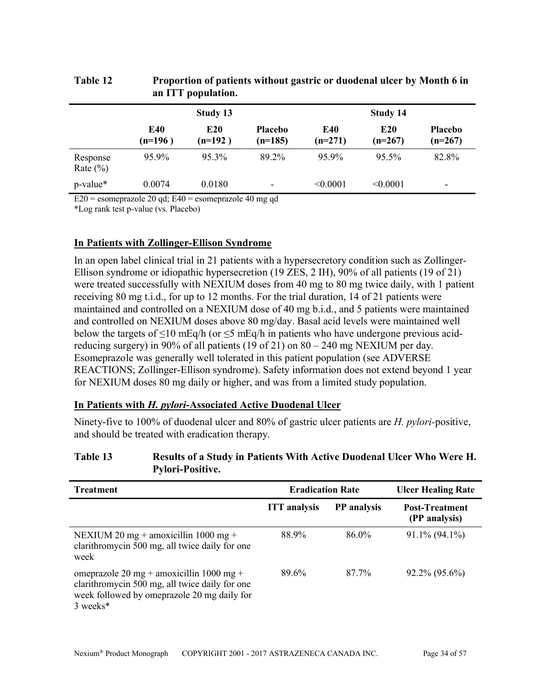| an ITT population.       |                  |                              |                             |                  |                              |                             |
|--------------------------|------------------|------------------------------|-----------------------------|------------------|------------------------------|-----------------------------|
|                          | Study 13         |                              |                             | Study 14         |                              |                             |
|                          | E40<br>$(n=196)$ | E <sub>20</sub><br>$(n=192)$ | <b>Placebo</b><br>$(n=185)$ | E40<br>$(n=271)$ | E <sub>20</sub><br>$(n=267)$ | <b>Placebo</b><br>$(n=267)$ |
| Response<br>Rate $(\% )$ | 95.9%            | 95.3%                        | 89.2%                       | 95.9%            | 95.5%                        | 82.8%                       |
| p-value*                 | 0.0074           | 0.0180                       | -                           | < 0.0001         | < 0.0001                     | $\overline{\phantom{0}}$    |

# **Table 12 Proportion of patients without gastric or duodenal ulcer by Month 6 in an ITT population.**

 $E20$  = esomeprazole 20 qd;  $E40$  = esomeprazole 40 mg qd

\*Log rank test p-value (vs. Placebo)

# **In Patients with Zollinger-Ellison Syndrome**

In an open label clinical trial in 21 patients with a hypersecretory condition such as Zollinger-Ellison syndrome or idiopathic hypersecretion (19 ZES, 2 IH), 90% of all patients (19 of 21) were treated successfully with NEXIUM doses from 40 mg to 80 mg twice daily, with 1 patient receiving 80 mg t.i.d., for up to 12 months. For the trial duration, 14 of 21 patients were maintained and controlled on a NEXIUM dose of 40 mg b.i.d., and 5 patients were maintained and controlled on NEXIUM doses above 80 mg/day. Basal acid levels were maintained well below the targets of  $\leq 10$  mEq/h (or  $\leq 5$  mEq/h in patients who have undergone previous acidreducing surgery) in 90% of all patients (19 of 21) on  $80 - 240$  mg NEXIUM per day. Esomeprazole was generally well tolerated in this patient population (see ADVERSE REACTIONS; Zollinger-Ellison syndrome). Safety information does not extend beyond 1 year for NEXIUM doses 80 mg daily or higher, and was from a limited study population.

# **In Patients with** *H. pylori***-Associated Active Duodenal Ulcer**

Ninety-five to 100% of duodenal ulcer and 80% of gastric ulcer patients are *H. pylori-*positive, and should be treated with eradication therapy.

### **Table 13 Results of a Study in Patients With Active Duodenal Ulcer Who Were H. Pylori-Positive.**

| <b>Treatment</b>                                                                                                                                      | <b>Eradication Rate</b> |                    | <b>Ulcer Healing Rate</b>              |  |
|-------------------------------------------------------------------------------------------------------------------------------------------------------|-------------------------|--------------------|----------------------------------------|--|
|                                                                                                                                                       | <b>ITT</b> analysis     | <b>PP</b> analysis | <b>Post-Treatment</b><br>(PP analysis) |  |
| NEXIUM 20 mg + amoxicillin 1000 mg +<br>clarithromycin 500 mg, all twice daily for one<br>week                                                        | 88.9%                   | 86.0%              | $91.1\%$ (94.1%)                       |  |
| omeprazole 20 mg + amoxicillin 1000 mg +<br>clarithromycin 500 mg, all twice daily for one<br>week followed by omeprazole 20 mg daily for<br>3 weeks* | 89.6%                   | 87.7%              | $92.2\%$ $(95.6\%)$                    |  |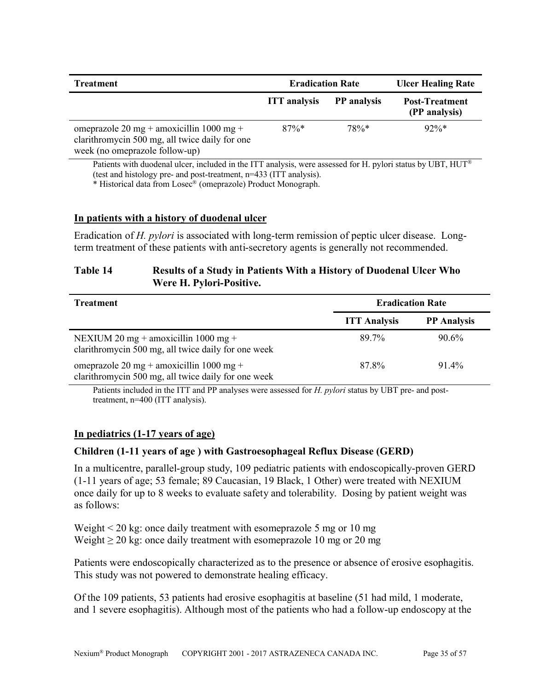| <b>Treatment</b>                                                                                                             | <b>Eradication Rate</b> |                    | <b>Ulcer Healing Rate</b>              |  |
|------------------------------------------------------------------------------------------------------------------------------|-------------------------|--------------------|----------------------------------------|--|
|                                                                                                                              | <b>ITT</b> analysis     | <b>PP</b> analysis | <b>Post-Treatment</b><br>(PP analysis) |  |
| omeprazole 20 mg + amoxicillin 1000 mg +<br>clarithromycin 500 mg, all twice daily for one<br>week (no omeprazole follow-up) | $87\%*$                 | $78\%*$            | $92\%*$                                |  |

Patients with duodenal ulcer, included in the ITT analysis, were assessed for H. pylori status by UBT,  $HUT^{\circledast}$ (test and histology pre- and post-treatment, n=433 (ITT analysis).

\* Historical data from Losec® (omeprazole) Product Monograph.

### **In patients with a history of duodenal ulcer**

Eradication of *H. pylori* is associated with long-term remission of peptic ulcer disease. Longterm treatment of these patients with anti-secretory agents is generally not recommended.

# **Table 14 Results of a Study in Patients With a History of Duodenal Ulcer Who Were H. Pylori-Positive.**

| <b>Treatment</b>                                                                                | <b>Eradication Rate</b> |                    |  |
|-------------------------------------------------------------------------------------------------|-------------------------|--------------------|--|
|                                                                                                 | <b>ITT Analysis</b>     | <b>PP</b> Analysis |  |
| NEXIUM 20 mg + amoxicillin 1000 mg +<br>clarithromycin 500 mg, all twice daily for one week     | 89.7%                   | $90.6\%$           |  |
| omeprazole 20 mg + amoxicillin 1000 mg +<br>clarithromycin 500 mg, all twice daily for one week | 87.8%                   | $91.4\%$           |  |

Patients included in the ITT and PP analyses were assessed for *H. pylori* status by UBT pre- and posttreatment, n=400 (ITT analysis).

# **In pediatrics (1-17 years of age)**

# **Children (1-11 years of age ) with Gastroesophageal Reflux Disease (GERD)**

In a multicentre, parallel-group study, 109 pediatric patients with endoscopically-proven GERD (1-11 years of age; 53 female; 89 Caucasian, 19 Black, 1 Other) were treated with NEXIUM once daily for up to 8 weeks to evaluate safety and tolerability. Dosing by patient weight was as follows:

Weight < 20 kg: once daily treatment with esomeprazole 5 mg or 10 mg Weight  $\geq 20$  kg: once daily treatment with esomeprazole 10 mg or 20 mg

Patients were endoscopically characterized as to the presence or absence of erosive esophagitis. This study was not powered to demonstrate healing efficacy.

Of the 109 patients, 53 patients had erosive esophagitis at baseline (51 had mild, 1 moderate, and 1 severe esophagitis). Although most of the patients who had a follow-up endoscopy at the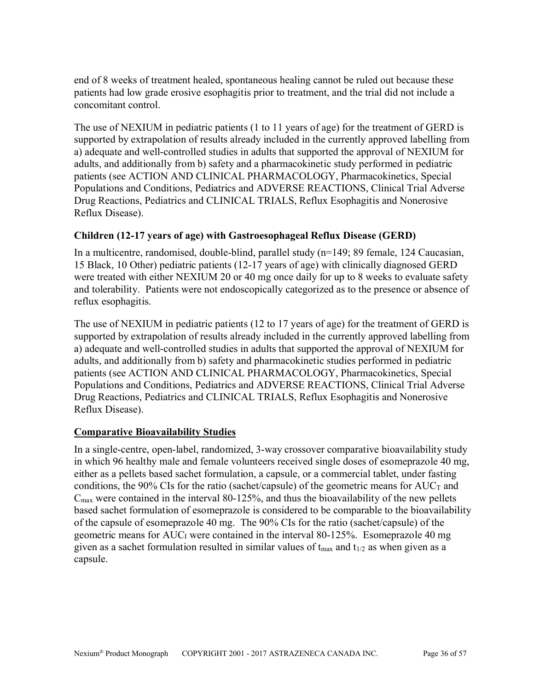end of 8 weeks of treatment healed, spontaneous healing cannot be ruled out because these patients had low grade erosive esophagitis prior to treatment, and the trial did not include a concomitant control.

The use of NEXIUM in pediatric patients (1 to 11 years of age) for the treatment of GERD is supported by extrapolation of results already included in the currently approved labelling from a) adequate and well-controlled studies in adults that supported the approval of NEXIUM for adults, and additionally from b) safety and a pharmacokinetic study performed in pediatric patients (see ACTION AND CLINICAL PHARMACOLOGY, Pharmacokinetics, Special Populations and Conditions, Pediatrics and ADVERSE REACTIONS, Clinical Trial Adverse Drug Reactions, Pediatrics and CLINICAL TRIALS, Reflux Esophagitis and Nonerosive Reflux Disease).

# **Children (12-17 years of age) with Gastroesophageal Reflux Disease (GERD)**

In a multicentre, randomised, double-blind, parallel study (n=149; 89 female, 124 Caucasian, 15 Black, 10 Other) pediatric patients (12-17 years of age) with clinically diagnosed GERD were treated with either NEXIUM 20 or 40 mg once daily for up to 8 weeks to evaluate safety and tolerability. Patients were not endoscopically categorized as to the presence or absence of reflux esophagitis.

The use of NEXIUM in pediatric patients (12 to 17 years of age) for the treatment of GERD is supported by extrapolation of results already included in the currently approved labelling from a) adequate and well-controlled studies in adults that supported the approval of NEXIUM for adults, and additionally from b) safety and pharmacokinetic studies performed in pediatric patients (see ACTION AND CLINICAL PHARMACOLOGY, Pharmacokinetics, Special Populations and Conditions, Pediatrics and ADVERSE REACTIONS, Clinical Trial Adverse Drug Reactions, Pediatrics and CLINICAL TRIALS, Reflux Esophagitis and Nonerosive Reflux Disease).

# **Comparative Bioavailability Studies**

In a single-centre, open-label, randomized, 3-way crossover comparative bioavailability study in which 96 healthy male and female volunteers received single doses of esomeprazole 40 mg, either as a pellets based sachet formulation, a capsule, or a commercial tablet, under fasting conditions, the 90% CIs for the ratio (sachet/capsule) of the geometric means for  $AUC_T$  and  $C_{\text{max}}$  were contained in the interval 80-125%, and thus the bioavailability of the new pellets based sachet formulation of esomeprazole is considered to be comparable to the bioavailability of the capsule of esomeprazole 40 mg. The 90% CIs for the ratio (sachet/capsule) of the geometric means for AUC<sub>I</sub> were contained in the interval 80-125%. Esomeprazole 40 mg given as a sachet formulation resulted in similar values of  $t_{\text{max}}$  and  $t_{1/2}$  as when given as a capsule.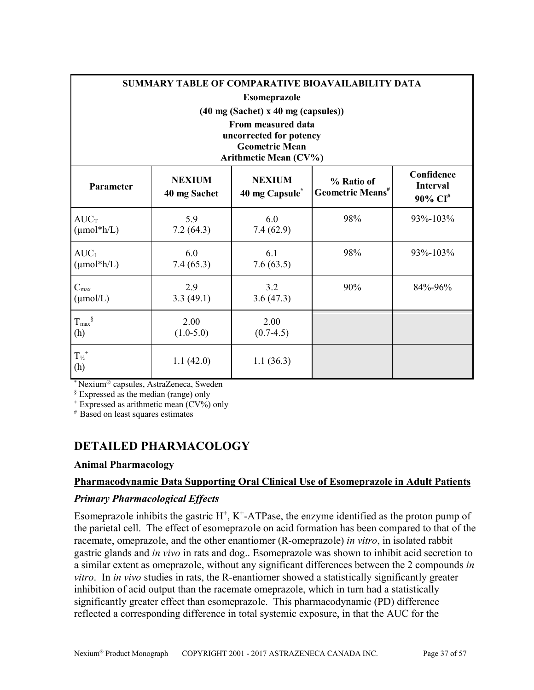|                                          | SUMMARY TABLE OF COMPARATIVE BIOAVAILABILITY DATA |                                                  |                                            |                                                      |  |  |  |
|------------------------------------------|---------------------------------------------------|--------------------------------------------------|--------------------------------------------|------------------------------------------------------|--|--|--|
|                                          | <b>Esomeprazole</b>                               |                                                  |                                            |                                                      |  |  |  |
|                                          |                                                   | $(40 \text{ mg}$ (Sachet) x 40 mg (capsules))    |                                            |                                                      |  |  |  |
|                                          |                                                   | From measured data                               |                                            |                                                      |  |  |  |
|                                          |                                                   | uncorrected for potency<br><b>Geometric Mean</b> |                                            |                                                      |  |  |  |
|                                          |                                                   | Arithmetic Mean (CV%)                            |                                            |                                                      |  |  |  |
| <b>Parameter</b>                         | <b>NEXIUM</b><br>40 mg Sachet                     | <b>NEXIUM</b><br>40 mg Capsule <sup>*</sup>      | % Ratio of<br>Geometric Means <sup>#</sup> | Confidence<br><b>Interval</b><br>90% CI <sup>#</sup> |  |  |  |
| $AUC_T$<br>$(\mu mol^*h/L)$              | 5.9<br>7.2(64.3)                                  | 6.0<br>7.4(62.9)                                 | 98%                                        | 93%-103%                                             |  |  |  |
| AUC <sub>I</sub><br>$(\mu mol^*h/L)$     | 6.0<br>7.4(65.3)                                  | 6.1<br>7.6(63.5)                                 | 98%                                        | 93%-103%                                             |  |  |  |
| $C_{\text{max}}$<br>$(\mu \text{mol/L})$ | 2.9<br>3.3(49.1)                                  | 3.2<br>3.6(47.3)                                 | 90%                                        | 84%-96%                                              |  |  |  |
| $T_{\text{max}}^{\S}$<br>(h)             | 2.00<br>$(1.0-5.0)$                               | 2.00<br>$(0.7-4.5)$                              |                                            |                                                      |  |  |  |
| ${T_{\nu_2}}^+$<br>(h)                   | 1.1(42.0)                                         | 1.1(36.3)                                        |                                            |                                                      |  |  |  |

\* Nexium® capsules, AstraZeneca, Sweden

§ Expressed as the median (range) only

 $+$  Expressed as arithmetic mean  $(CV%)$  only

# Based on least squares estimates

# <span id="page-36-0"></span>**DETAILED PHARMACOLOGY**

### **Animal Pharmacology**

# **Pharmacodynamic Data Supporting Oral Clinical Use of Esomeprazole in Adult Patients**

# *Primary Pharmacological Effects*

Esomeprazole inhibits the gastric  $H^+$ ,  $K^+$ -ATPase, the enzyme identified as the proton pump of the parietal cell. The effect of esomeprazole on acid formation has been compared to that of the racemate, omeprazole, and the other enantiomer (R-omeprazole) *in vitro*, in isolated rabbit gastric glands and *in vivo* in rats and dog.. Esomeprazole was shown to inhibit acid secretion to a similar extent as omeprazole, without any significant differences between the 2 compounds *in vitro*. In *in vivo* studies in rats, the R-enantiomer showed a statistically significantly greater inhibition of acid output than the racemate omeprazole, which in turn had a statistically significantly greater effect than esomeprazole. This pharmacodynamic (PD) difference reflected a corresponding difference in total systemic exposure, in that the AUC for the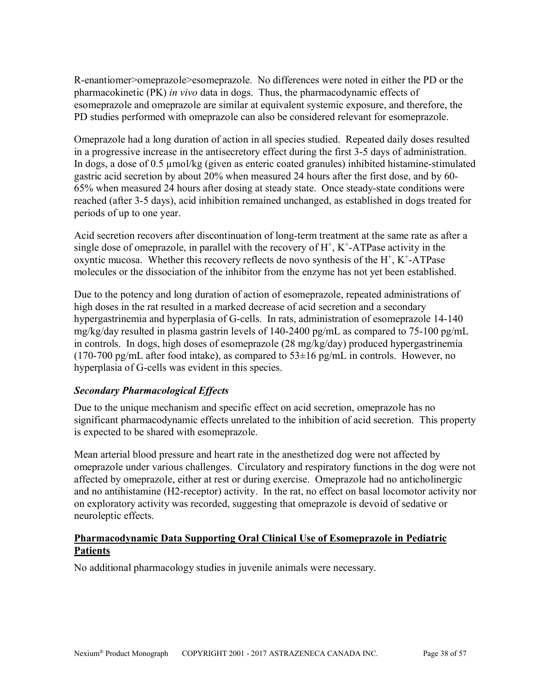R-enantiomer>omeprazole>esomeprazole. No differences were noted in either the PD or the pharmacokinetic (PK) *in vivo* data in dogs. Thus, the pharmacodynamic effects of esomeprazole and omeprazole are similar at equivalent systemic exposure, and therefore, the PD studies performed with omeprazole can also be considered relevant for esomeprazole.

Omeprazole had a long duration of action in all species studied. Repeated daily doses resulted in a progressive increase in the antisecretory effect during the first 3-5 days of administration. In dogs, a dose of 0.5 µmol/kg (given as enteric coated granules) inhibited histamine-stimulated gastric acid secretion by about 20% when measured 24 hours after the first dose, and by 60- 65% when measured 24 hours after dosing at steady state. Once steady-state conditions were reached (after 3-5 days), acid inhibition remained unchanged, as established in dogs treated for periods of up to one year.

Acid secretion recovers after discontinuation of long-term treatment at the same rate as after a single dose of omeprazole, in parallel with the recovery of  $H^+$ ,  $K^+$ -ATPase activity in the oxyntic mucosa. Whether this recovery reflects de novo synthesis of the  $H^+$ ,  $K^+$ -ATPase molecules or the dissociation of the inhibitor from the enzyme has not yet been established.

Due to the potency and long duration of action of esomeprazole, repeated administrations of high doses in the rat resulted in a marked decrease of acid secretion and a secondary hypergastrinemia and hyperplasia of G-cells. In rats, administration of esomeprazole 14-140 mg/kg/day resulted in plasma gastrin levels of 140-2400 pg/mL as compared to 75-100 pg/mL in controls. In dogs, high doses of esomeprazole (28 mg/kg/day) produced hypergastrinemia (170-700 pg/mL after food intake), as compared to  $53\pm16$  pg/mL in controls. However, no hyperplasia of G-cells was evident in this species.

# *Secondary Pharmacological Effects*

Due to the unique mechanism and specific effect on acid secretion, omeprazole has no significant pharmacodynamic effects unrelated to the inhibition of acid secretion. This property is expected to be shared with esomeprazole.

Mean arterial blood pressure and heart rate in the anesthetized dog were not affected by omeprazole under various challenges. Circulatory and respiratory functions in the dog were not affected by omeprazole, either at rest or during exercise. Omeprazole had no anticholinergic and no antihistamine (H2-receptor) activity. In the rat, no effect on basal locomotor activity nor on exploratory activity was recorded, suggesting that omeprazole is devoid of sedative or neuroleptic effects.

# **Pharmacodynamic Data Supporting Oral Clinical Use of Esomeprazole in Pediatric Patients**

No additional pharmacology studies in juvenile animals were necessary.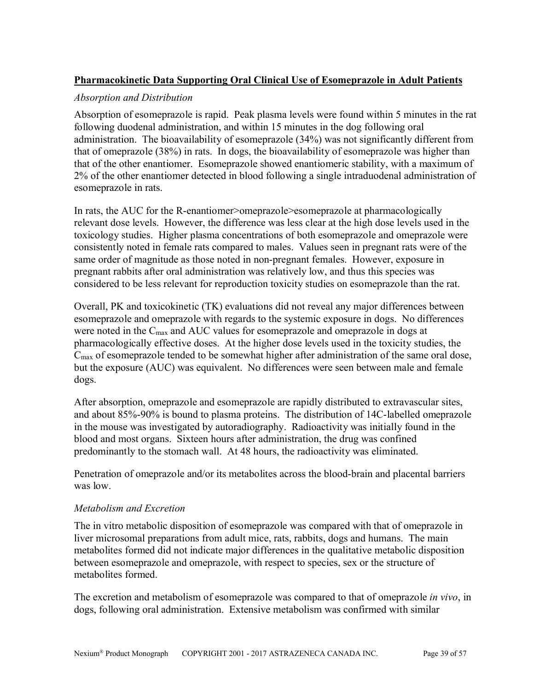# **Pharmacokinetic Data Supporting Oral Clinical Use of Esomeprazole in Adult Patients**

### *Absorption and Distribution*

Absorption of esomeprazole is rapid. Peak plasma levels were found within 5 minutes in the rat following duodenal administration, and within 15 minutes in the dog following oral administration. The bioavailability of esomeprazole (34%) was not significantly different from that of omeprazole (38%) in rats. In dogs, the bioavailability of esomeprazole was higher than that of the other enantiomer. Esomeprazole showed enantiomeric stability, with a maximum of 2% of the other enantiomer detected in blood following a single intraduodenal administration of esomeprazole in rats.

In rats, the AUC for the R-enantiomer>omeprazole>esomeprazole at pharmacologically relevant dose levels. However, the difference was less clear at the high dose levels used in the toxicology studies. Higher plasma concentrations of both esomeprazole and omeprazole were consistently noted in female rats compared to males. Values seen in pregnant rats were of the same order of magnitude as those noted in non-pregnant females. However, exposure in pregnant rabbits after oral administration was relatively low, and thus this species was considered to be less relevant for reproduction toxicity studies on esomeprazole than the rat.

Overall, PK and toxicokinetic (TK) evaluations did not reveal any major differences between esomeprazole and omeprazole with regards to the systemic exposure in dogs. No differences were noted in the C<sub>max</sub> and AUC values for esomeprazole and omeprazole in dogs at pharmacologically effective doses. At the higher dose levels used in the toxicity studies, the Cmax of esomeprazole tended to be somewhat higher after administration of the same oral dose, but the exposure (AUC) was equivalent. No differences were seen between male and female dogs.

After absorption, omeprazole and esomeprazole are rapidly distributed to extravascular sites, and about 85%-90% is bound to plasma proteins. The distribution of 14C-labelled omeprazole in the mouse was investigated by autoradiography. Radioactivity was initially found in the blood and most organs. Sixteen hours after administration, the drug was confined predominantly to the stomach wall. At 48 hours, the radioactivity was eliminated.

Penetration of omeprazole and/or its metabolites across the blood-brain and placental barriers was low.

### *Metabolism and Excretion*

The in vitro metabolic disposition of esomeprazole was compared with that of omeprazole in liver microsomal preparations from adult mice, rats, rabbits, dogs and humans. The main metabolites formed did not indicate major differences in the qualitative metabolic disposition between esomeprazole and omeprazole, with respect to species, sex or the structure of metabolites formed.

The excretion and metabolism of esomeprazole was compared to that of omeprazole *in vivo*, in dogs, following oral administration. Extensive metabolism was confirmed with similar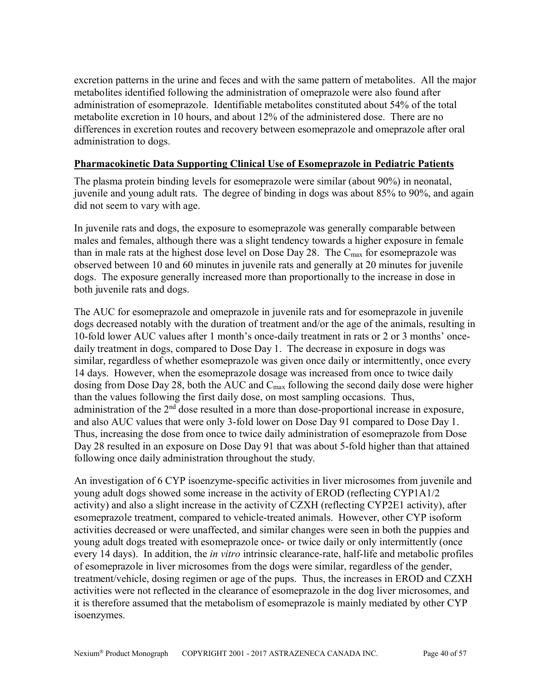excretion patterns in the urine and feces and with the same pattern of metabolites. All the major metabolites identified following the administration of omeprazole were also found after administration of esomeprazole. Identifiable metabolites constituted about 54% of the total metabolite excretion in 10 hours, and about 12% of the administered dose. There are no differences in excretion routes and recovery between esomeprazole and omeprazole after oral administration to dogs.

### **Pharmacokinetic Data Supporting Clinical Use of Esomeprazole in Pediatric Patients**

The plasma protein binding levels for esomeprazole were similar (about 90%) in neonatal, juvenile and young adult rats. The degree of binding in dogs was about 85% to 90%, and again did not seem to vary with age.

In juvenile rats and dogs, the exposure to esomeprazole was generally comparable between males and females, although there was a slight tendency towards a higher exposure in female than in male rats at the highest dose level on Dose Day 28. The  $C_{\text{max}}$  for esomeprazole was observed between 10 and 60 minutes in juvenile rats and generally at 20 minutes for juvenile dogs. The exposure generally increased more than proportionally to the increase in dose in both juvenile rats and dogs.

The AUC for esomeprazole and omeprazole in juvenile rats and for esomeprazole in juvenile dogs decreased notably with the duration of treatment and/or the age of the animals, resulting in 10-fold lower AUC values after 1 month's once-daily treatment in rats or 2 or 3 months' oncedaily treatment in dogs, compared to Dose Day 1. The decrease in exposure in dogs was similar, regardless of whether esomeprazole was given once daily or intermittently, once every 14 days. However, when the esomeprazole dosage was increased from once to twice daily dosing from Dose Day 28, both the AUC and  $C_{\text{max}}$  following the second daily dose were higher than the values following the first daily dose, on most sampling occasions. Thus, administration of the  $2<sup>nd</sup>$  dose resulted in a more than dose-proportional increase in exposure, and also AUC values that were only 3-fold lower on Dose Day 91 compared to Dose Day 1. Thus, increasing the dose from once to twice daily administration of esomeprazole from Dose Day 28 resulted in an exposure on Dose Day 91 that was about 5-fold higher than that attained following once daily administration throughout the study.

An investigation of 6 CYP isoenzyme-specific activities in liver microsomes from juvenile and young adult dogs showed some increase in the activity of EROD (reflecting CYP1A1/2 activity) and also a slight increase in the activity of CZXH (reflecting CYP2E1 activity), after esomeprazole treatment, compared to vehicle-treated animals. However, other CYP isoform activities decreased or were unaffected, and similar changes were seen in both the puppies and young adult dogs treated with esomeprazole once- or twice daily or only intermittently (once every 14 days). In addition, the *in vitro* intrinsic clearance-rate, half-life and metabolic profiles of esomeprazole in liver microsomes from the dogs were similar, regardless of the gender, treatment/vehicle, dosing regimen or age of the pups. Thus, the increases in EROD and CZXH activities were not reflected in the clearance of esomeprazole in the dog liver microsomes, and it is therefore assumed that the metabolism of esomeprazole is mainly mediated by other CYP isoenzymes.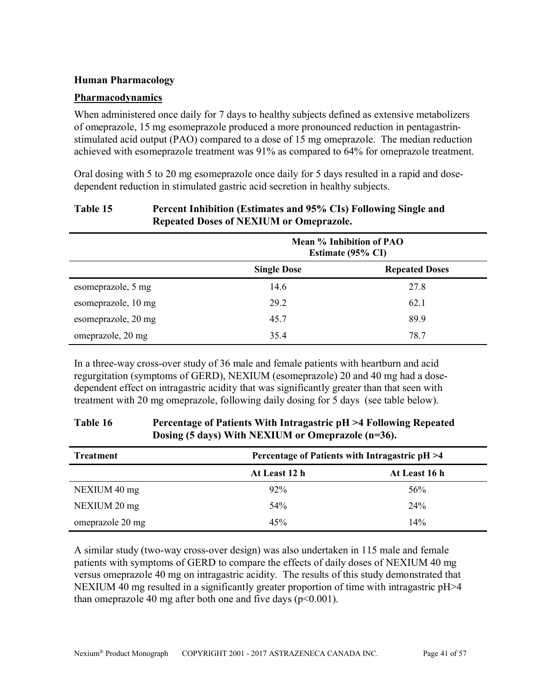### **Human Pharmacology**

#### **Pharmacodynamics**

When administered once daily for 7 days to healthy subjects defined as extensive metabolizers of omeprazole, 15 mg esomeprazole produced a more pronounced reduction in pentagastrinstimulated acid output (PAO) compared to a dose of 15 mg omeprazole. The median reduction achieved with esomeprazole treatment was 91% as compared to 64% for omeprazole treatment.

Oral dosing with 5 to 20 mg esomeprazole once daily for 5 days resulted in a rapid and dosedependent reduction in stimulated gastric acid secretion in healthy subjects.

### **Table 15 Percent Inhibition (Estimates and 95% CIs) Following Single and Repeated Doses of NEXIUM or Omeprazole.**

|                     | Mean % Inhibition of PAO<br>Estimate (95% CI) |                       |
|---------------------|-----------------------------------------------|-----------------------|
|                     | <b>Single Dose</b>                            | <b>Repeated Doses</b> |
| esomeprazole, 5 mg  | 14.6                                          | 27.8                  |
| esomeprazole, 10 mg | 29.2                                          | 62.1                  |
| esomeprazole, 20 mg | 45.7                                          | 89.9                  |
| omeprazole, 20 mg   | 35.4                                          | 78.7                  |

In a three-way cross-over study of 36 male and female patients with heartburn and acid regurgitation (symptoms of GERD), NEXIUM (esomeprazole) 20 and 40 mg had a dosedependent effect on intragastric acidity that was significantly greater than that seen with treatment with 20 mg omeprazole, following daily dosing for 5 days (see table below).

### **Table 16 Percentage of Patients With Intragastric pH >4 Following Repeated Dosing (5 days) With NEXIUM or Omeprazole (n=36).**

| <b>Treatment</b> | Percentage of Patients with Intragastric pH >4 |               |  |
|------------------|------------------------------------------------|---------------|--|
|                  | At Least 12 h                                  | At Least 16 h |  |
| NEXIUM 40 mg     | 92%                                            | 56%           |  |
| NEXIUM 20 mg     | 54%                                            | 24%           |  |
| omeprazole 20 mg | 45%                                            | 14%           |  |

A similar study (two-way cross-over design) was also undertaken in 115 male and female patients with symptoms of GERD to compare the effects of daily doses of NEXIUM 40 mg versus omeprazole 40 mg on intragastric acidity. The results of this study demonstrated that NEXIUM 40 mg resulted in a significantly greater proportion of time with intragastric pH>4 than omeprazole 40 mg after both one and five days  $(p<0.001)$ .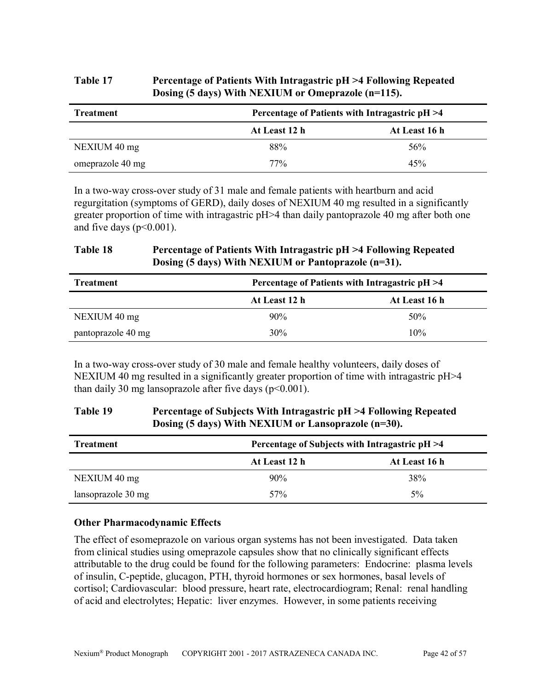# **Table 17 Percentage of Patients With Intragastric pH >4 Following Repeated Dosing (5 days) With NEXIUM or Omeprazole (n=115).**

| Treatment        |               | Percentage of Patients with Intragastric pH >4 |  |  |
|------------------|---------------|------------------------------------------------|--|--|
|                  | At Least 12 h | At Least 16 h                                  |  |  |
| NEXIUM 40 mg     | 88%           | 56%                                            |  |  |
| omeprazole 40 mg | 77%           | 45%                                            |  |  |

In a two-way cross-over study of 31 male and female patients with heartburn and acid regurgitation (symptoms of GERD), daily doses of NEXIUM 40 mg resulted in a significantly greater proportion of time with intragastric pH>4 than daily pantoprazole 40 mg after both one and five days  $(p<0.001)$ .

# **Table 18 Percentage of Patients With Intragastric pH >4 Following Repeated Dosing (5 days) With NEXIUM or Pantoprazole (n=31).**

| <b>Treatment</b>   |               | Percentage of Patients with Intragastric pH >4 |  |  |
|--------------------|---------------|------------------------------------------------|--|--|
|                    | At Least 12 h | At Least 16 h                                  |  |  |
| NEXIUM 40 mg       | 90%           | 50%                                            |  |  |
| pantoprazole 40 mg | 30%           | 10%                                            |  |  |

In a two-way cross-over study of 30 male and female healthy volunteers, daily doses of NEXIUM 40 mg resulted in a significantly greater proportion of time with intragastric pH>4 than daily 30 mg lansoprazole after five days  $(p<0.001)$ .

### **Table 19 Percentage of Subjects With Intragastric pH >4 Following Repeated Dosing (5 days) With NEXIUM or Lansoprazole (n=30).**

| <b>Treatment</b>   |                 | Percentage of Subjects with Intragastric pH >4 |  |  |
|--------------------|-----------------|------------------------------------------------|--|--|
|                    | At Least 12 h   | At Least 16 h                                  |  |  |
| NEXIUM 40 mg       | 90%             | 38%                                            |  |  |
| lansoprazole 30 mg | 57 <sub>%</sub> | $5\%$                                          |  |  |

### **Other Pharmacodynamic Effects**

The effect of esomeprazole on various organ systems has not been investigated. Data taken from clinical studies using omeprazole capsules show that no clinically significant effects attributable to the drug could be found for the following parameters: Endocrine: plasma levels of insulin, C-peptide, glucagon, PTH, thyroid hormones or sex hormones, basal levels of cortisol; Cardiovascular: blood pressure, heart rate, electrocardiogram; Renal: renal handling of acid and electrolytes; Hepatic: liver enzymes. However, in some patients receiving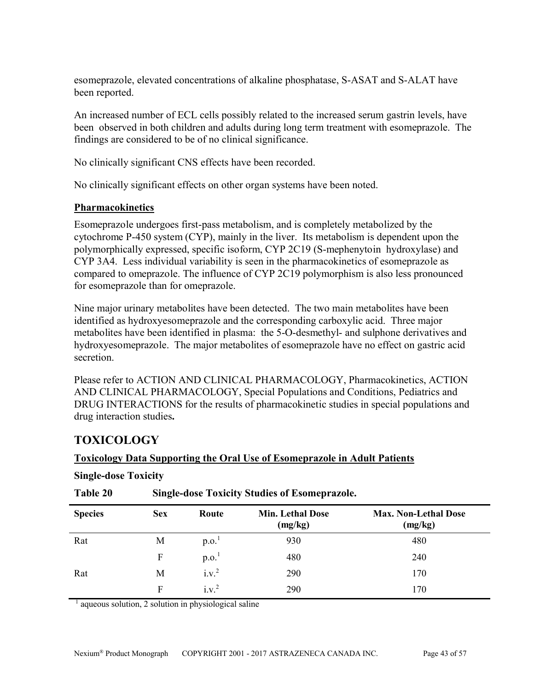esomeprazole, elevated concentrations of alkaline phosphatase, S-ASAT and S-ALAT have been reported.

An increased number of ECL cells possibly related to the increased serum gastrin levels, have been observed in both children and adults during long term treatment with esomeprazole. The findings are considered to be of no clinical significance.

No clinically significant CNS effects have been recorded.

No clinically significant effects on other organ systems have been noted.

### **Pharmacokinetics**

Esomeprazole undergoes first-pass metabolism, and is completely metabolized by the cytochrome P-450 system (CYP), mainly in the liver. Its metabolism is dependent upon the polymorphically expressed, specific isoform, CYP 2C19 (S-mephenytoin hydroxylase) and CYP 3A4. Less individual variability is seen in the pharmacokinetics of esomeprazole as compared to omeprazole. The influence of CYP 2C19 polymorphism is also less pronounced for esomeprazole than for omeprazole.

Nine major urinary metabolites have been detected. The two main metabolites have been identified as hydroxyesomeprazole and the corresponding carboxylic acid. Three major metabolites have been identified in plasma: the 5-O-desmethyl- and sulphone derivatives and hydroxyesomeprazole. The major metabolites of esomeprazole have no effect on gastric acid secretion.

Please refer to ACTION AND CLINICAL PHARMACOLOGY, Pharmacokinetics, ACTION AND CLINICAL PHARMACOLOGY, Special Populations and Conditions, Pediatrics and DRUG INTERACTIONS for the results of pharmacokinetic studies in special populations and drug interaction studies**.**

# <span id="page-42-0"></span>**TOXICOLOGY**

# **Toxicology Data Supporting the Oral Use of Esomeprazole in Adult Patients**

| Table 20       | <b>Single-dose Toxicity Studies of Esomeprazole.</b> |                   |                                    |                                        |
|----------------|------------------------------------------------------|-------------------|------------------------------------|----------------------------------------|
| <b>Species</b> | <b>Sex</b>                                           | Route             | <b>Min. Lethal Dose</b><br>(mg/kg) | <b>Max. Non-Lethal Dose</b><br>(mg/kg) |
| Rat            | М                                                    | p.o. <sup>1</sup> | 930                                | 480                                    |
|                | F                                                    | p.o.              | 480                                | 240                                    |
| Rat            | M                                                    | $i.v.^2$          | 290                                | 170                                    |
|                | F                                                    | $i.v.^2$          | 290                                | 170                                    |

### **Single-dose Toxicity**

<sup>1</sup> aqueous solution, 2 solution in physiological saline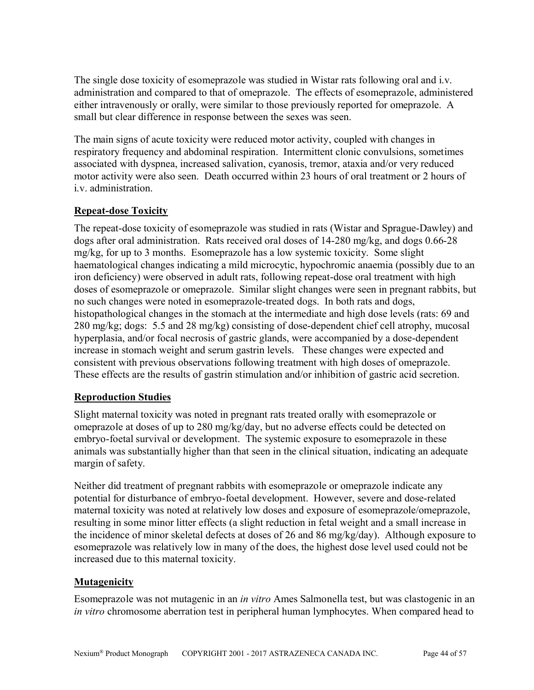The single dose toxicity of esomeprazole was studied in Wistar rats following oral and i.v. administration and compared to that of omeprazole. The effects of esomeprazole, administered either intravenously or orally, were similar to those previously reported for omeprazole. A small but clear difference in response between the sexes was seen.

The main signs of acute toxicity were reduced motor activity, coupled with changes in respiratory frequency and abdominal respiration. Intermittent clonic convulsions, sometimes associated with dyspnea, increased salivation, cyanosis, tremor, ataxia and/or very reduced motor activity were also seen. Death occurred within 23 hours of oral treatment or 2 hours of i.v. administration.

# **Repeat-dose Toxicity**

The repeat-dose toxicity of esomeprazole was studied in rats (Wistar and Sprague-Dawley) and dogs after oral administration. Rats received oral doses of 14-280 mg/kg, and dogs 0.66-28 mg/kg, for up to 3 months. Esomeprazole has a low systemic toxicity. Some slight haematological changes indicating a mild microcytic, hypochromic anaemia (possibly due to an iron deficiency) were observed in adult rats, following repeat-dose oral treatment with high doses of esomeprazole or omeprazole. Similar slight changes were seen in pregnant rabbits, but no such changes were noted in esomeprazole-treated dogs. In both rats and dogs, histopathological changes in the stomach at the intermediate and high dose levels (rats: 69 and 280 mg/kg; dogs: 5.5 and 28 mg/kg) consisting of dose-dependent chief cell atrophy, mucosal hyperplasia, and/or focal necrosis of gastric glands, were accompanied by a dose-dependent increase in stomach weight and serum gastrin levels. These changes were expected and consistent with previous observations following treatment with high doses of omeprazole. These effects are the results of gastrin stimulation and/or inhibition of gastric acid secretion.

# **Reproduction Studies**

Slight maternal toxicity was noted in pregnant rats treated orally with esomeprazole or omeprazole at doses of up to 280 mg/kg/day, but no adverse effects could be detected on embryo-foetal survival or development. The systemic exposure to esomeprazole in these animals was substantially higher than that seen in the clinical situation, indicating an adequate margin of safety.

Neither did treatment of pregnant rabbits with esomeprazole or omeprazole indicate any potential for disturbance of embryo-foetal development. However, severe and dose-related maternal toxicity was noted at relatively low doses and exposure of esomeprazole/omeprazole, resulting in some minor litter effects (a slight reduction in fetal weight and a small increase in the incidence of minor skeletal defects at doses of 26 and 86 mg/kg/day). Although exposure to esomeprazole was relatively low in many of the does, the highest dose level used could not be increased due to this maternal toxicity.

# **Mutagenicity**

Esomeprazole was not mutagenic in an *in vitro* Ames Salmonella test, but was clastogenic in an *in vitro* chromosome aberration test in peripheral human lymphocytes. When compared head to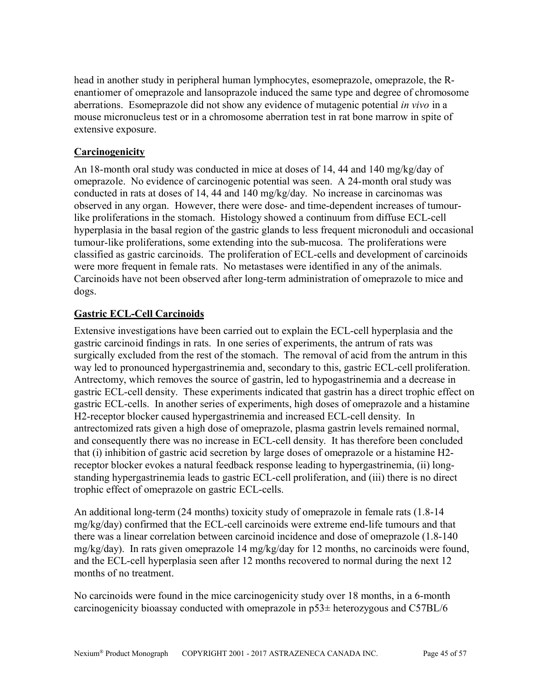head in another study in peripheral human lymphocytes, esomeprazole, omeprazole, the Renantiomer of omeprazole and lansoprazole induced the same type and degree of chromosome aberrations. Esomeprazole did not show any evidence of mutagenic potential *in vivo* in a mouse micronucleus test or in a chromosome aberration test in rat bone marrow in spite of extensive exposure.

# **Carcinogenicity**

An 18-month oral study was conducted in mice at doses of 14, 44 and 140 mg/kg/day of omeprazole. No evidence of carcinogenic potential was seen. A 24-month oral study was conducted in rats at doses of 14, 44 and 140 mg/kg/day. No increase in carcinomas was observed in any organ. However, there were dose- and time-dependent increases of tumourlike proliferations in the stomach. Histology showed a continuum from diffuse ECL-cell hyperplasia in the basal region of the gastric glands to less frequent micronoduli and occasional tumour-like proliferations, some extending into the sub-mucosa. The proliferations were classified as gastric carcinoids. The proliferation of ECL-cells and development of carcinoids were more frequent in female rats. No metastases were identified in any of the animals. Carcinoids have not been observed after long-term administration of omeprazole to mice and dogs.

# **Gastric ECL-Cell Carcinoids**

Extensive investigations have been carried out to explain the ECL-cell hyperplasia and the gastric carcinoid findings in rats. In one series of experiments, the antrum of rats was surgically excluded from the rest of the stomach. The removal of acid from the antrum in this way led to pronounced hypergastrinemia and, secondary to this, gastric ECL-cell proliferation. Antrectomy, which removes the source of gastrin, led to hypogastrinemia and a decrease in gastric ECL-cell density. These experiments indicated that gastrin has a direct trophic effect on gastric ECL-cells. In another series of experiments, high doses of omeprazole and a histamine H2-receptor blocker caused hypergastrinemia and increased ECL-cell density. In antrectomized rats given a high dose of omeprazole, plasma gastrin levels remained normal, and consequently there was no increase in ECL-cell density. It has therefore been concluded that (i) inhibition of gastric acid secretion by large doses of omeprazole or a histamine H2 receptor blocker evokes a natural feedback response leading to hypergastrinemia, (ii) longstanding hypergastrinemia leads to gastric ECL-cell proliferation, and (iii) there is no direct trophic effect of omeprazole on gastric ECL-cells.

An additional long-term (24 months) toxicity study of omeprazole in female rats (1.8-14 mg/kg/day) confirmed that the ECL-cell carcinoids were extreme end-life tumours and that there was a linear correlation between carcinoid incidence and dose of omeprazole (1.8-140 mg/kg/day). In rats given omeprazole 14 mg/kg/day for 12 months, no carcinoids were found, and the ECL-cell hyperplasia seen after 12 months recovered to normal during the next 12 months of no treatment.

No carcinoids were found in the mice carcinogenicity study over 18 months, in a 6-month carcinogenicity bioassay conducted with omeprazole in p53± heterozygous and C57BL/6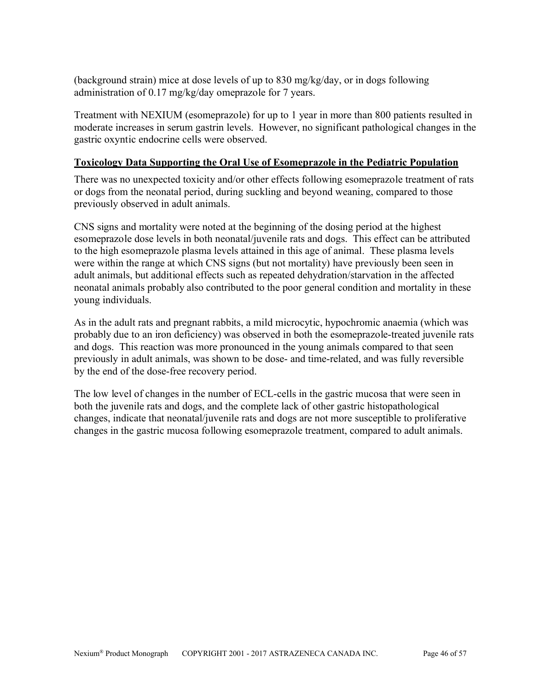(background strain) mice at dose levels of up to 830 mg/kg/day, or in dogs following administration of 0.17 mg/kg/day omeprazole for 7 years.

Treatment with NEXIUM (esomeprazole) for up to 1 year in more than 800 patients resulted in moderate increases in serum gastrin levels. However, no significant pathological changes in the gastric oxyntic endocrine cells were observed.

### **Toxicology Data Supporting the Oral Use of Esomeprazole in the Pediatric Population**

There was no unexpected toxicity and/or other effects following esomeprazole treatment of rats or dogs from the neonatal period, during suckling and beyond weaning, compared to those previously observed in adult animals.

CNS signs and mortality were noted at the beginning of the dosing period at the highest esomeprazole dose levels in both neonatal/juvenile rats and dogs. This effect can be attributed to the high esomeprazole plasma levels attained in this age of animal. These plasma levels were within the range at which CNS signs (but not mortality) have previously been seen in adult animals, but additional effects such as repeated dehydration/starvation in the affected neonatal animals probably also contributed to the poor general condition and mortality in these young individuals.

As in the adult rats and pregnant rabbits, a mild microcytic, hypochromic anaemia (which was probably due to an iron deficiency) was observed in both the esomeprazole-treated juvenile rats and dogs. This reaction was more pronounced in the young animals compared to that seen previously in adult animals, was shown to be dose- and time-related, and was fully reversible by the end of the dose-free recovery period.

The low level of changes in the number of ECL-cells in the gastric mucosa that were seen in both the juvenile rats and dogs, and the complete lack of other gastric histopathological changes, indicate that neonatal/juvenile rats and dogs are not more susceptible to proliferative changes in the gastric mucosa following esomeprazole treatment, compared to adult animals.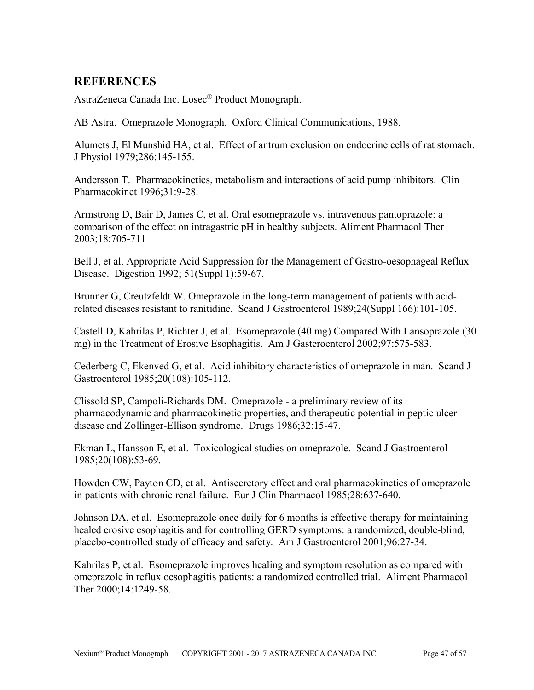# <span id="page-46-0"></span>**REFERENCES**

AstraZeneca Canada Inc. Losec® Product Monograph.

AB Astra. Omeprazole Monograph. Oxford Clinical Communications, 1988.

Alumets J, El Munshid HA, et al. Effect of antrum exclusion on endocrine cells of rat stomach. J Physiol 1979;286:145-155.

Andersson T. Pharmacokinetics, metabolism and interactions of acid pump inhibitors. Clin Pharmacokinet 1996;31:9-28.

Armstrong D, Bair D, James C, et al. Oral esomeprazole vs. intravenous pantoprazole: a comparison of the effect on intragastric pH in healthy subjects. Aliment Pharmacol Ther 2003;18:705-711

Bell J, et al. Appropriate Acid Suppression for the Management of Gastro-oesophageal Reflux Disease. Digestion 1992; 51(Suppl 1):59-67.

Brunner G, Creutzfeldt W. Omeprazole in the long-term management of patients with acidrelated diseases resistant to ranitidine. Scand J Gastroenterol 1989;24(Suppl 166):101-105.

Castell D, Kahrilas P, Richter J, et al. Esomeprazole (40 mg) Compared With Lansoprazole (30 mg) in the Treatment of Erosive Esophagitis. Am J Gasteroenterol 2002;97:575-583.

Cederberg C, Ekenved G, et al. Acid inhibitory characteristics of omeprazole in man. Scand J Gastroenterol 1985;20(108):105-112.

Clissold SP, Campoli-Richards DM. Omeprazole - a preliminary review of its pharmacodynamic and pharmacokinetic properties, and therapeutic potential in peptic ulcer disease and Zollinger-Ellison syndrome. Drugs 1986;32:15-47.

Ekman L, Hansson E, et al. Toxicological studies on omeprazole. Scand J Gastroenterol 1985;20(108):53-69.

Howden CW, Payton CD, et al. Antisecretory effect and oral pharmacokinetics of omeprazole in patients with chronic renal failure. Eur J Clin Pharmacol 1985;28:637-640.

Johnson DA, et al. Esomeprazole once daily for 6 months is effective therapy for maintaining healed erosive esophagitis and for controlling GERD symptoms: a randomized, double-blind, placebo-controlled study of efficacy and safety. Am J Gastroenterol 2001;96:27-34.

Kahrilas P, et al. Esomeprazole improves healing and symptom resolution as compared with omeprazole in reflux oesophagitis patients: a randomized controlled trial. Aliment Pharmacol Ther 2000;14:1249-58.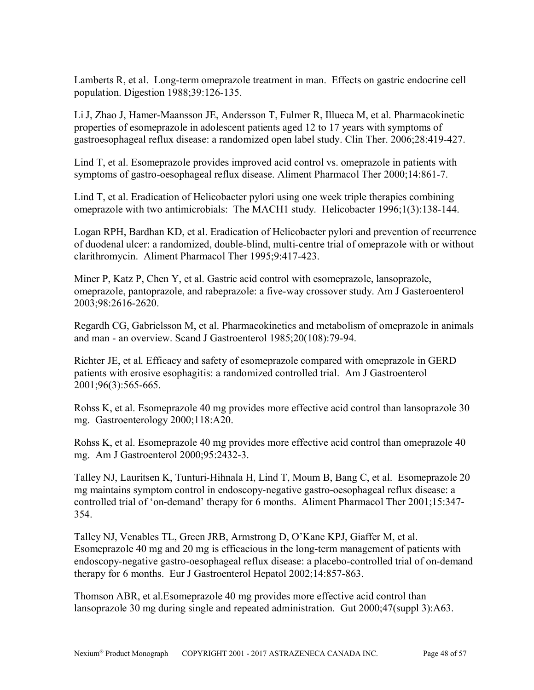Lamberts R, et al. Long-term omeprazole treatment in man. Effects on gastric endocrine cell population. Digestion 1988;39:126-135.

Li J, Zhao J, Hamer-Maansson JE, Andersson T, Fulmer R, Illueca M, et al. Pharmacokinetic properties of esomeprazole in adolescent patients aged 12 to 17 years with symptoms of gastroesophageal reflux disease: a randomized open label study. Clin Ther. 2006;28:419-427.

Lind T, et al. Esomeprazole provides improved acid control vs. omeprazole in patients with symptoms of gastro-oesophageal reflux disease. Aliment Pharmacol Ther 2000;14:861-7.

Lind T, et al. Eradication of Helicobacter pylori using one week triple therapies combining omeprazole with two antimicrobials: The MACH1 study. Helicobacter 1996;1(3):138-144.

Logan RPH, Bardhan KD, et al. Eradication of Helicobacter pylori and prevention of recurrence of duodenal ulcer: a randomized, double-blind, multi-centre trial of omeprazole with or without clarithromycin. Aliment Pharmacol Ther 1995;9:417-423.

Miner P, Katz P, Chen Y, et al. Gastric acid control with esomeprazole, lansoprazole, omeprazole, pantoprazole, and rabeprazole: a five-way crossover study. Am J Gasteroenterol 2003;98:2616-2620.

Regardh CG, Gabrielsson M, et al. Pharmacokinetics and metabolism of omeprazole in animals and man - an overview. Scand J Gastroenterol 1985;20(108):79-94.

Richter JE, et al. Efficacy and safety of esomeprazole compared with omeprazole in GERD patients with erosive esophagitis: a randomized controlled trial. Am J Gastroenterol 2001;96(3):565-665.

Rohss K, et al. Esomeprazole 40 mg provides more effective acid control than lansoprazole 30 mg. Gastroenterology 2000;118:A20.

Rohss K, et al. Esomeprazole 40 mg provides more effective acid control than omeprazole 40 mg. Am J Gastroenterol 2000;95:2432-3.

Talley NJ, Lauritsen K, Tunturi-Hihnala H, Lind T, Moum B, Bang C, et al. Esomeprazole 20 mg maintains symptom control in endoscopy-negative gastro-oesophageal reflux disease: a controlled trial of 'on-demand' therapy for 6 months. Aliment Pharmacol Ther 2001;15:347- 354.

Talley NJ, Venables TL, Green JRB, Armstrong D, O'Kane KPJ, Giaffer M, et al. Esomeprazole 40 mg and 20 mg is efficacious in the long-term management of patients with endoscopy-negative gastro-oesophageal reflux disease: a placebo-controlled trial of on-demand therapy for 6 months. Eur J Gastroenterol Hepatol 2002;14:857-863.

Thomson ABR, et al.Esomeprazole 40 mg provides more effective acid control than lansoprazole 30 mg during single and repeated administration. Gut 2000;47(suppl 3):A63.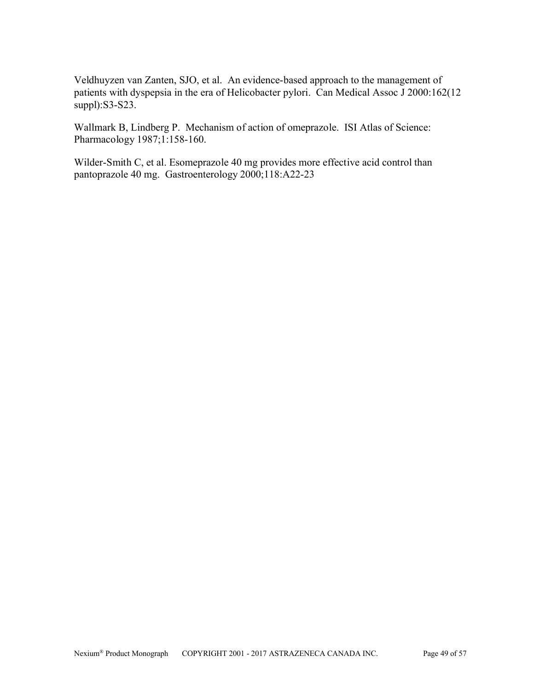Veldhuyzen van Zanten, SJO, et al. An evidence-based approach to the management of patients with dyspepsia in the era of Helicobacter pylori. Can Medical Assoc J 2000:162(12 suppl):S3-S23.

Wallmark B, Lindberg P. Mechanism of action of omeprazole. ISI Atlas of Science: Pharmacology 1987;1:158-160.

Wilder-Smith C, et al. Esomeprazole 40 mg provides more effective acid control than pantoprazole 40 mg. Gastroenterology 2000;118:A22-23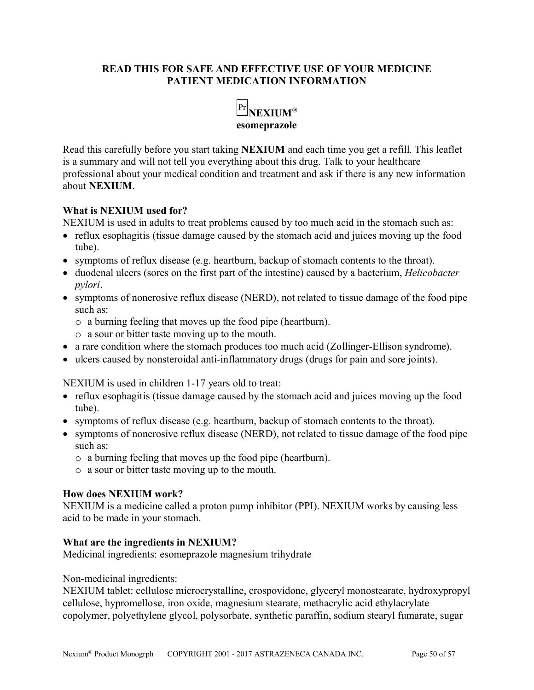### **READ THIS FOR SAFE AND EFFECTIVE USE OF YOUR MEDICINE PATIENT MEDICATION INFORMATION**



<span id="page-49-0"></span>Read this carefully before you start taking **NEXIUM** and each time you get a refill. This leaflet is a summary and will not tell you everything about this drug. Talk to your healthcare professional about your medical condition and treatment and ask if there is any new information about **NEXIUM**.

### **What is NEXIUM used for?**

NEXIUM is used in adults to treat problems caused by too much acid in the stomach such as:

- reflux esophagitis (tissue damage caused by the stomach acid and juices moving up the food tube).
- symptoms of reflux disease (e.g. heartburn, backup of stomach contents to the throat).
- duodenal ulcers (sores on the first part of the intestine) caused by a bacterium, *Helicobacter pylori*.
- symptoms of nonerosive reflux disease (NERD), not related to tissue damage of the food pipe such as:
	- o a burning feeling that moves up the food pipe (heartburn).
	- o a sour or bitter taste moving up to the mouth.
- a rare condition where the stomach produces too much acid (Zollinger-Ellison syndrome).
- ulcers caused by nonsteroidal anti-inflammatory drugs (drugs for pain and sore joints).

NEXIUM is used in children 1-17 years old to treat:

- reflux esophagitis (tissue damage caused by the stomach acid and juices moving up the food tube).
- symptoms of reflux disease (e.g. heartburn, backup of stomach contents to the throat).
- symptoms of nonerosive reflux disease (NERD), not related to tissue damage of the food pipe such as:
	- o a burning feeling that moves up the food pipe (heartburn).
	- o a sour or bitter taste moving up to the mouth.

### **How does NEXIUM work?**

NEXIUM is a medicine called a proton pump inhibitor (PPI). NEXIUM works by causing less acid to be made in your stomach.

### **What are the ingredients in NEXIUM?**

Medicinal ingredients: esomeprazole magnesium trihydrate

### Non-medicinal ingredients:

NEXIUM tablet: cellulose microcrystalline, crospovidone, glyceryl monostearate, hydroxypropyl cellulose, hypromellose, iron oxide, magnesium stearate, methacrylic acid ethylacrylate copolymer, polyethylene glycol, polysorbate, synthetic paraffin, sodium stearyl fumarate, sugar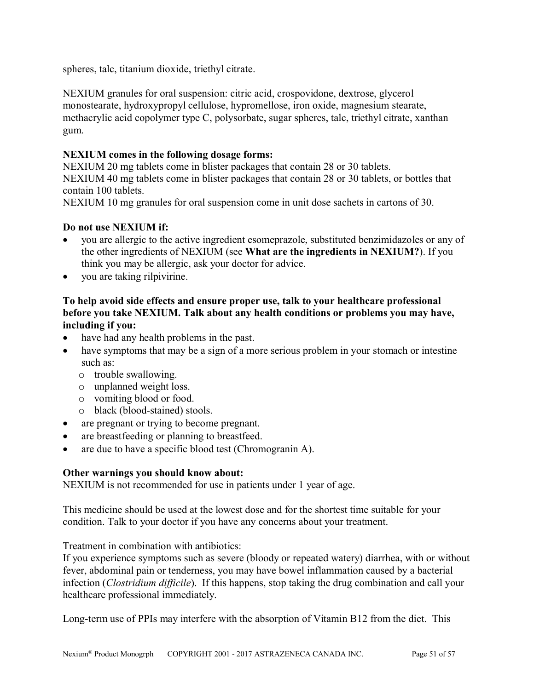spheres, talc, titanium dioxide, triethyl citrate.

NEXIUM granules for oral suspension: citric acid, crospovidone, dextrose, glycerol monostearate, hydroxypropyl cellulose, hypromellose, iron oxide, magnesium stearate, methacrylic acid copolymer type C, polysorbate, sugar spheres, talc, triethyl citrate, xanthan gum.

### **NEXIUM comes in the following dosage forms:**

NEXIUM 20 mg tablets come in blister packages that contain 28 or 30 tablets. NEXIUM 40 mg tablets come in blister packages that contain 28 or 30 tablets, or bottles that contain 100 tablets.

NEXIUM 10 mg granules for oral suspension come in unit dose sachets in cartons of 30.

### **Do not use NEXIUM if:**

- you are allergic to the active ingredient esomeprazole, substituted benzimidazoles or any of the other ingredients of NEXIUM (see **What are the ingredients in NEXIUM?**). If you think you may be allergic, ask your doctor for advice.
- you are taking rilpivirine.

### **To help avoid side effects and ensure proper use, talk to your healthcare professional before you take NEXIUM. Talk about any health conditions or problems you may have, including if you:**

- have had any health problems in the past.
- have symptoms that may be a sign of a more serious problem in your stomach or intestine such as:
	- o trouble swallowing.
	- o unplanned weight loss.
	- o vomiting blood or food.
	- o black (blood-stained) stools.
- are pregnant or trying to become pregnant.
- are breastfeeding or planning to breastfeed.
- are due to have a specific blood test (Chromogranin A).

#### **Other warnings you should know about:**

NEXIUM is not recommended for use in patients under 1 year of age.

This medicine should be used at the lowest dose and for the shortest time suitable for your condition. Talk to your doctor if you have any concerns about your treatment.

Treatment in combination with antibiotics:

If you experience symptoms such as severe (bloody or repeated watery) diarrhea, with or without fever, abdominal pain or tenderness, you may have bowel inflammation caused by a bacterial infection (*Clostridium difficile*). If this happens, stop taking the drug combination and call your healthcare professional immediately.

Long-term use of PPIs may interfere with the absorption of Vitamin B12 from the diet. This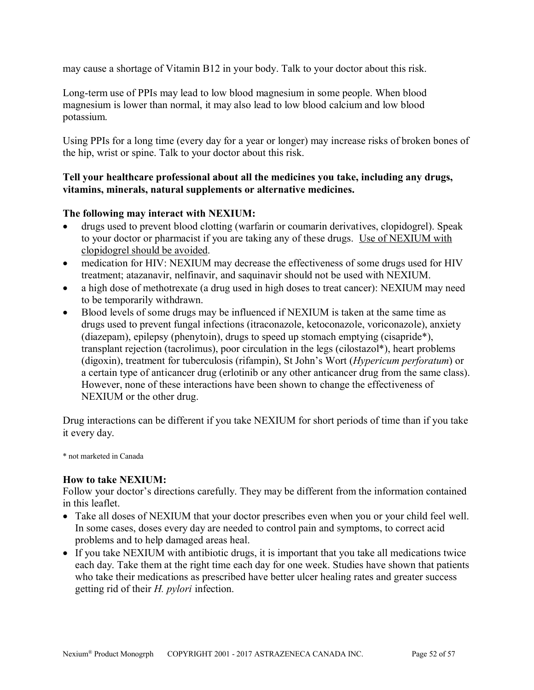may cause a shortage of Vitamin B12 in your body. Talk to your doctor about this risk.

Long-term use of PPIs may lead to low blood magnesium in some people. When blood magnesium is lower than normal, it may also lead to low blood calcium and low blood potassium.

Using PPIs for a long time (every day for a year or longer) may increase risks of broken bones of the hip, wrist or spine. Talk to your doctor about this risk.

### **Tell your healthcare professional about all the medicines you take, including any drugs, vitamins, minerals, natural supplements or alternative medicines.**

### **The following may interact with NEXIUM:**

- drugs used to prevent blood clotting (warfarin or coumarin derivatives, clopidogrel). Speak to your doctor or pharmacist if you are taking any of these drugs.Use of NEXIUM with clopidogrel should be avoided.
- medication for HIV: NEXIUM may decrease the effectiveness of some drugs used for HIV treatment; atazanavir, nelfinavir, and saquinavir should not be used with NEXIUM.
- a high dose of methotrexate (a drug used in high doses to treat cancer): NEXIUM may need to be temporarily withdrawn.
- Blood levels of some drugs may be influenced if NEXIUM is taken at the same time as drugs used to prevent fungal infections (itraconazole, ketoconazole, voriconazole), anxiety (diazepam), epilepsy (phenytoin), drugs to speed up stomach emptying (cisapride\*), transplant rejection (tacrolimus), poor circulation in the legs (cilostazol\*), heart problems (digoxin), treatment for tuberculosis (rifampin), St John's Wort (*Hypericum perforatum*) or a certain type of anticancer drug (erlotinib or any other anticancer drug from the same class). However, none of these interactions have been shown to change the effectiveness of NEXIUM or the other drug.

Drug interactions can be different if you take NEXIUM for short periods of time than if you take it every day.

\* not marketed in Canada

#### **How to take NEXIUM:**

Follow your doctor's directions carefully. They may be different from the information contained in this leaflet.

- Take all doses of NEXIUM that your doctor prescribes even when you or your child feel well. In some cases, doses every day are needed to control pain and symptoms, to correct acid problems and to help damaged areas heal.
- If you take NEXIUM with antibiotic drugs, it is important that you take all medications twice each day. Take them at the right time each day for one week. Studies have shown that patients who take their medications as prescribed have better ulcer healing rates and greater success getting rid of their *H. pylori* infection.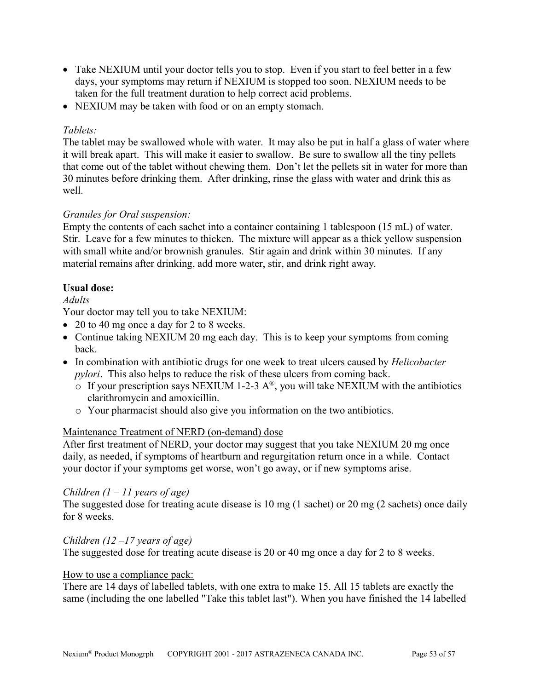- Take NEXIUM until your doctor tells you to stop. Even if you start to feel better in a few days, your symptoms may return if NEXIUM is stopped too soon. NEXIUM needs to be taken for the full treatment duration to help correct acid problems.
- NEXIUM may be taken with food or on an empty stomach.

### *Tablets:*

The tablet may be swallowed whole with water. It may also be put in half a glass of water where it will break apart. This will make it easier to swallow. Be sure to swallow all the tiny pellets that come out of the tablet without chewing them. Don't let the pellets sit in water for more than 30 minutes before drinking them. After drinking, rinse the glass with water and drink this as well.

# *Granules for Oral suspension:*

Empty the contents of each sachet into a container containing 1 tablespoon (15 mL) of water. Stir. Leave for a few minutes to thicken. The mixture will appear as a thick yellow suspension with small white and/or brownish granules. Stir again and drink within 30 minutes. If any material remains after drinking, add more water, stir, and drink right away.

### **Usual dose:**

### *Adults*

Your doctor may tell you to take NEXIUM:

- 20 to 40 mg once a day for 2 to 8 weeks.
- Continue taking NEXIUM 20 mg each day. This is to keep your symptoms from coming back.
- In combination with antibiotic drugs for one week to treat ulcers caused by *Helicobacter pylori*. This also helps to reduce the risk of these ulcers from coming back.
	- $\circ$  If your prescription says NEXIUM 1-2-3 A<sup>®</sup>, you will take NEXIUM with the antibiotics clarithromycin and amoxicillin.
	- o Your pharmacist should also give you information on the two antibiotics.

### Maintenance Treatment of NERD (on-demand) dose

After first treatment of NERD, your doctor may suggest that you take NEXIUM 20 mg once daily, as needed, if symptoms of heartburn and regurgitation return once in a while. Contact your doctor if your symptoms get worse, won't go away, or if new symptoms arise.

### *Children (1 – 11 years of age)*

The suggested dose for treating acute disease is 10 mg (1 sachet) or 20 mg (2 sachets) once daily for 8 weeks.

### *Children (12 –17 years of age)*

The suggested dose for treating acute disease is 20 or 40 mg once a day for 2 to 8 weeks.

#### How to use a compliance pack:

There are 14 days of labelled tablets, with one extra to make 15. All 15 tablets are exactly the same (including the one labelled "Take this tablet last"). When you have finished the 14 labelled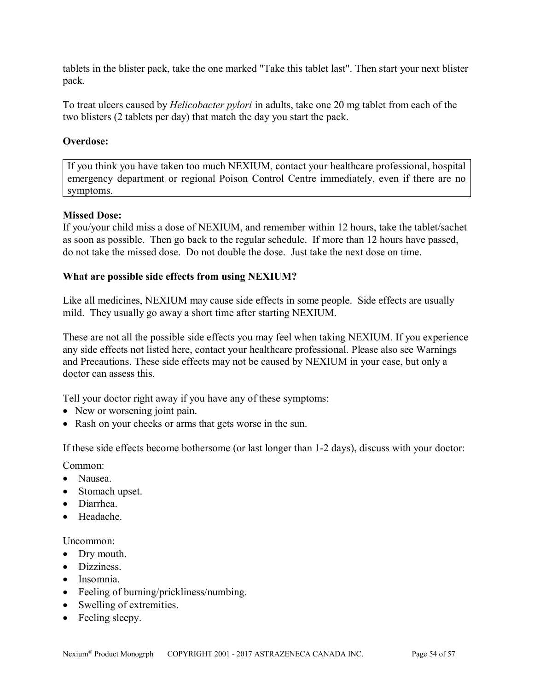tablets in the blister pack, take the one marked "Take this tablet last". Then start your next blister pack.

To treat ulcers caused by *Helicobacter pylori* in adults, take one 20 mg tablet from each of the two blisters (2 tablets per day) that match the day you start the pack.

### **Overdose:**

If you think you have taken too much NEXIUM, contact your healthcare professional, hospital emergency department or regional Poison Control Centre immediately, even if there are no symptoms.

### **Missed Dose:**

If you/your child miss a dose of NEXIUM, and remember within 12 hours, take the tablet/sachet as soon as possible. Then go back to the regular schedule. If more than 12 hours have passed, do not take the missed dose. Do not double the dose. Just take the next dose on time.

### **What are possible side effects from using NEXIUM?**

Like all medicines, NEXIUM may cause side effects in some people. Side effects are usually mild. They usually go away a short time after starting NEXIUM.

These are not all the possible side effects you may feel when taking NEXIUM. If you experience any side effects not listed here, contact your healthcare professional. Please also see Warnings and Precautions. These side effects may not be caused by NEXIUM in your case, but only a doctor can assess this.

Tell your doctor right away if you have any of these symptoms:

- New or worsening joint pain.
- Rash on your cheeks or arms that gets worse in the sun.

If these side effects become bothersome (or last longer than 1-2 days), discuss with your doctor:

Common:

- Nausea.
- Stomach upset.
- Diarrhea.
- Headache.

Uncommon:

- Dry mouth.
- **•** Dizziness
- Insomnia.
- Feeling of burning/prickliness/numbing.
- Swelling of extremities.
- Feeling sleepy.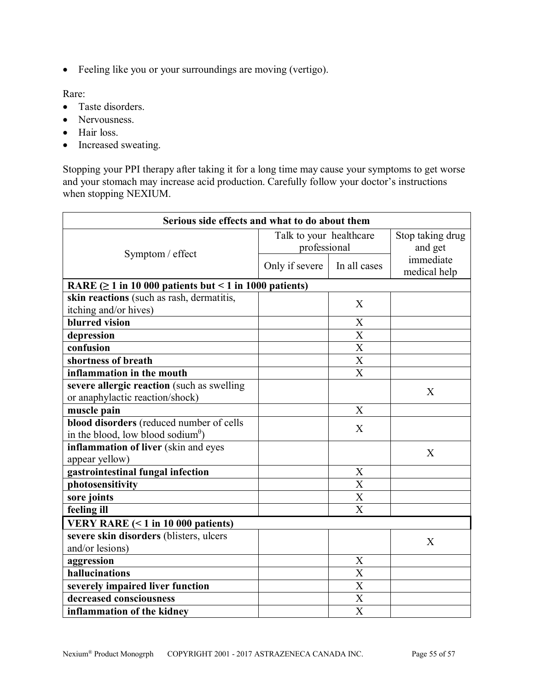Feeling like you or your surroundings are moving (vertigo).

Rare:

- Taste disorders.
- Nervousness.
- Hair loss.
- Increased sweating.

Stopping your PPI therapy after taking it for a long time may cause your symptoms to get worse and your stomach may increase acid production. Carefully follow your doctor's instructions when stopping NEXIUM.

| Serious side effects and what to do about them                  |                         |                       |                  |  |
|-----------------------------------------------------------------|-------------------------|-----------------------|------------------|--|
|                                                                 | Talk to your healthcare |                       | Stop taking drug |  |
|                                                                 | professional            |                       | and get          |  |
| Symptom / effect                                                | Only if severe          | In all cases          | immediate        |  |
|                                                                 |                         |                       | medical help     |  |
| RARE $( \geq 1$ in 10 000 patients but < 1 in 1000 patients)    |                         |                       |                  |  |
| skin reactions (such as rash, dermatitis,                       |                         | X                     |                  |  |
| itching and/or hives)                                           |                         |                       |                  |  |
| blurred vision                                                  |                         | X                     |                  |  |
| depression                                                      |                         | $\overline{X}$        |                  |  |
| confusion                                                       |                         | $\overline{\text{X}}$ |                  |  |
| shortness of breath                                             |                         | X                     |                  |  |
| inflammation in the mouth                                       |                         | $\overline{X}$        |                  |  |
| severe allergic reaction (such as swelling                      |                         |                       | X                |  |
| or anaphylactic reaction/shock)                                 |                         |                       |                  |  |
| muscle pain                                                     |                         | X                     |                  |  |
| blood disorders (reduced number of cells                        |                         | X                     |                  |  |
| in the blood, low blood sodium <sup><math>\theta</math></sup> ) |                         |                       |                  |  |
| inflammation of liver (skin and eyes                            |                         |                       | X                |  |
| appear yellow)                                                  |                         |                       |                  |  |
| gastrointestinal fungal infection                               |                         | X                     |                  |  |
| photosensitivity                                                |                         | $\overline{\text{X}}$ |                  |  |
| sore joints                                                     |                         | X                     |                  |  |
| feeling ill                                                     |                         | X                     |                  |  |
| <b>VERY RARE <math>(&lt; 1</math> in 10 000 patients)</b>       |                         |                       |                  |  |
| severe skin disorders (blisters, ulcers                         |                         |                       | X                |  |
| and/or lesions)                                                 |                         |                       |                  |  |
| aggression                                                      |                         | X                     |                  |  |
| hallucinations                                                  |                         | $\overline{X}$        |                  |  |
| severely impaired liver function                                |                         | X                     |                  |  |
| decreased consciousness                                         |                         | X                     |                  |  |
| inflammation of the kidney                                      |                         | $\overline{X}$        |                  |  |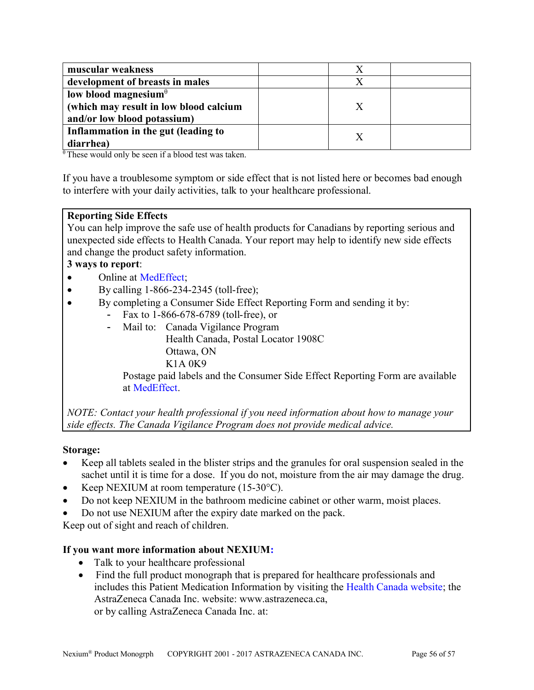| muscular weakness                      |  |  |
|----------------------------------------|--|--|
| development of breasts in males        |  |  |
| low blood magnesium $\theta$           |  |  |
| (which may result in low blood calcium |  |  |
| and/or low blood potassium)            |  |  |
| Inflammation in the gut (leading to    |  |  |
| diarrhea)                              |  |  |

 $\theta$ These would only be seen if a blood test was taken.

If you have a troublesome symptom or side effect that is not listed here or becomes bad enough to interfere with your daily activities, talk to your healthcare professional.

### **Reporting Side Effects**

You can help improve the safe use of health products for Canadians by reporting serious and unexpected side effects to Health Canada. Your report may help to identify new side effects and change the product safety information.

### **3 ways to report**:

- Online at [MedEffect;](http://hc-sc.gc.ca/dhp-mps/medeff/index-eng.php)
- By calling  $1-866-234-2345$  (toll-free);
- By completing a Consumer Side Effect Reporting Form and sending it by:
	- Fax to 1-866-678-6789 (toll-free), or
	- Mail to: Canada Vigilance Program
		- Health Canada, Postal Locator 1908C
		- Ottawa, ON
		- K1A 0K9

Postage paid labels and the Consumer Side Effect Reporting Form are available at [MedEffect.](http://hc-sc.gc.ca/dhp-mps/medeff/index-eng.php)

*NOTE: Contact your health professional if you need information about how to manage your side effects. The Canada Vigilance Program does not provide medical advice.*

### **Storage:**

- Keep all tablets sealed in the blister strips and the granules for oral suspension sealed in the sachet until it is time for a dose. If you do not, moisture from the air may damage the drug.
- Example Keep NEXIUM at room temperature  $(15-30^{\circ}C)$ .
- Do not keep NEXIUM in the bathroom medicine cabinet or other warm, moist places.
- Do not use NEXIUM after the expiry date marked on the pack.

Keep out of sight and reach of children.

# **If you want more information about NEXIUM:**

- Talk to your healthcare professional
- Find the full product monograph that is prepared for healthcare professionals and includes this Patient Medication Information by visiting the [Health Canada website;](http://hc-sc.gc.ca/index-eng.php) the AstraZeneca Canada Inc. website: www.astrazeneca.ca, or by calling AstraZeneca Canada Inc. at: